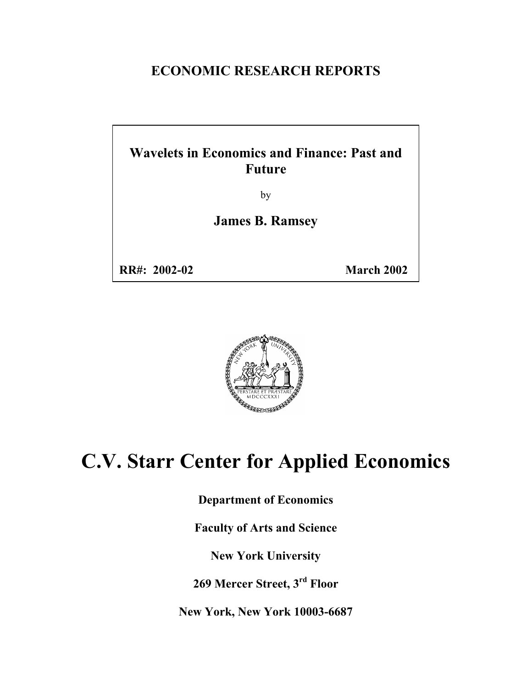### **ECONOMIC RESEARCH REPORTS**

### **Wavelets in Economics and Finance: Past and Future**

by

**James B. Ramsey** 

**RR#: 2002-02 March 2002**



# **C.V. Starr Center for Applied Economics**

**Department of Economics** 

**Faculty of Arts and Science** 

**New York University** 

**269 Mercer Street, 3rd Floor** 

**New York, New York 10003-6687**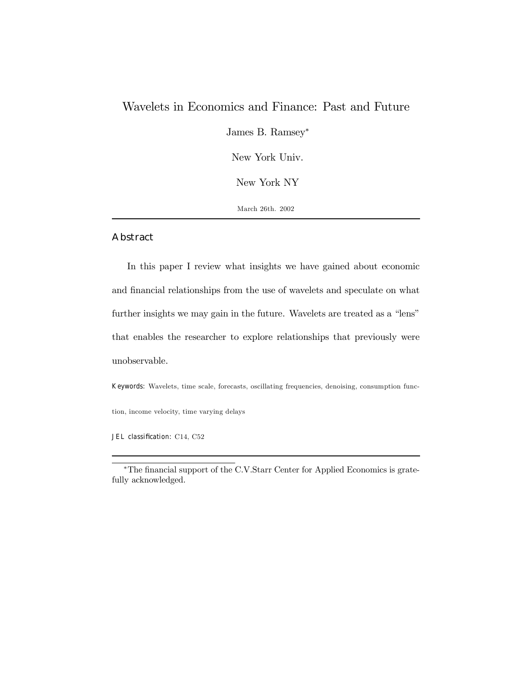### Wavelets in Economics and Finance: Past and Future

James B. Ramsey<sup>∗</sup>

New York Univ.

New York NY

March 26th. 2002

#### Abstract

In this paper I review what insights we have gained about economic and financial relationships from the use of wavelets and speculate on what further insights we may gain in the future. Wavelets are treated as a "lens" that enables the researcher to explore relationships that previously were unobservable.

Keywords: Wavelets, time scale, forecasts, oscillating frequencies, denoising, consumption func-

tion, income velocity, time varying delays

JEL classification: C14, C52

<sup>∗</sup>The financial support of the C.V.Starr Center for Applied Economics is gratefully acknowledged.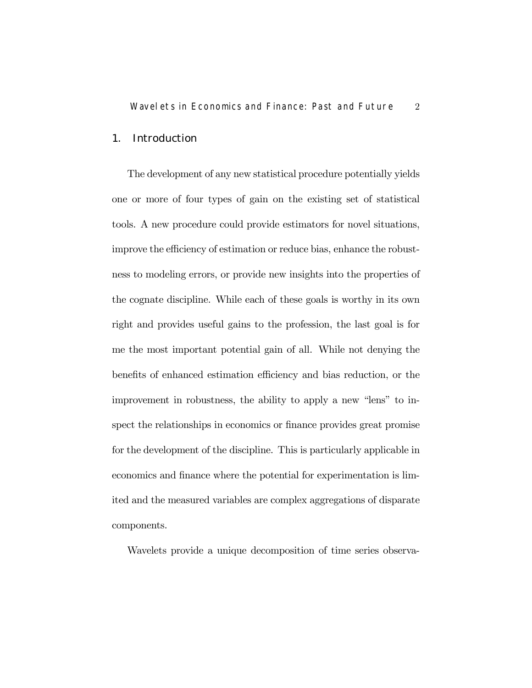### 1. Introduction

The development of any new statistical procedure potentially yields one or more of four types of gain on the existing set of statistical tools. A new procedure could provide estimators for novel situations, improve the efficiency of estimation or reduce bias, enhance the robustness to modeling errors, or provide new insights into the properties of the cognate discipline. While each of these goals is worthy in its own right and provides useful gains to the profession, the last goal is for me the most important potential gain of all. While not denying the benefits of enhanced estimation efficiency and bias reduction, or the improvement in robustness, the ability to apply a new "lens" to inspect the relationships in economics or finance provides great promise for the development of the discipline. This is particularly applicable in economics and finance where the potential for experimentation is limited and the measured variables are complex aggregations of disparate components.

Wavelets provide a unique decomposition of time series observa-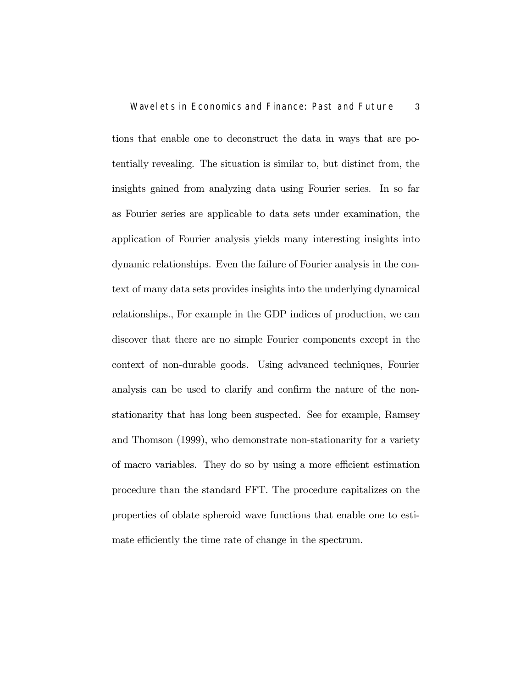tions that enable one to deconstruct the data in ways that are potentially revealing. The situation is similar to, but distinct from, the insights gained from analyzing data using Fourier series. In so far as Fourier series are applicable to data sets under examination, the application of Fourier analysis yields many interesting insights into dynamic relationships. Even the failure of Fourier analysis in the context of many data sets provides insights into the underlying dynamical relationships., For example in the GDP indices of production, we can discover that there are no simple Fourier components except in the context of non-durable goods. Using advanced techniques, Fourier analysis can be used to clarify and confirm the nature of the nonstationarity that has long been suspected. See for example, Ramsey and Thomson (1999), who demonstrate non-stationarity for a variety of macro variables. They do so by using a more efficient estimation procedure than the standard FFT. The procedure capitalizes on the properties of oblate spheroid wave functions that enable one to estimate efficiently the time rate of change in the spectrum.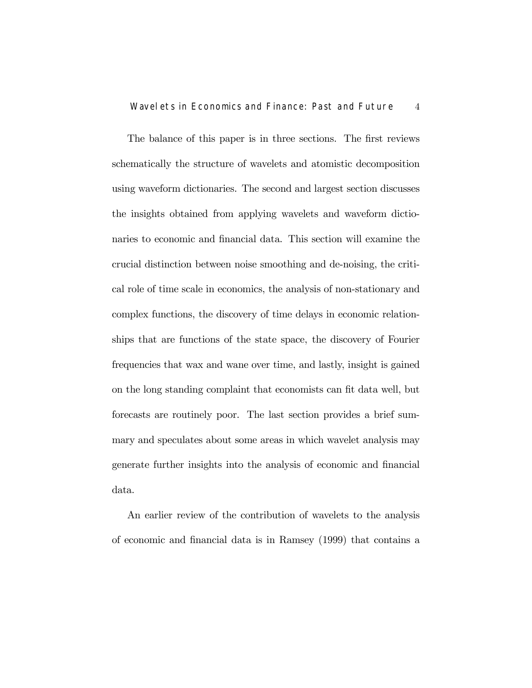The balance of this paper is in three sections. The first reviews schematically the structure of wavelets and atomistic decomposition using waveform dictionaries. The second and largest section discusses the insights obtained from applying wavelets and waveform dictionaries to economic and financial data. This section will examine the crucial distinction between noise smoothing and de-noising, the critical role of time scale in economics, the analysis of non-stationary and complex functions, the discovery of time delays in economic relationships that are functions of the state space, the discovery of Fourier frequencies that wax and wane over time, and lastly, insight is gained on the long standing complaint that economists can fit data well, but forecasts are routinely poor. The last section provides a brief summary and speculates about some areas in which wavelet analysis may generate further insights into the analysis of economic and financial data.

An earlier review of the contribution of wavelets to the analysis of economic and financial data is in Ramsey (1999) that contains a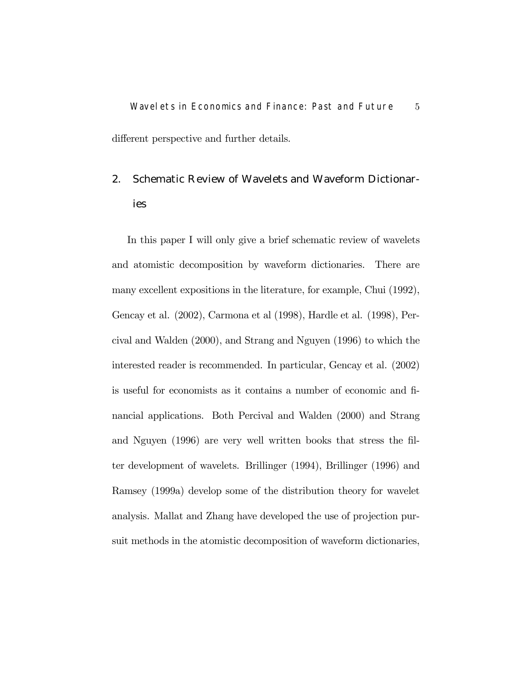Wavelets in Economics and Finance: Past and Future 5 different perspective and further details.

2. Schematic Review of Wavelets and Waveform Dictionaries

In this paper I will only give a brief schematic review of wavelets and atomistic decomposition by waveform dictionaries. There are many excellent expositions in the literature, for example, Chui (1992), Gencay et al. (2002), Carmona et al (1998), Hardle et al. (1998), Percival and Walden (2000), and Strang and Nguyen (1996) to which the interested reader is recommended. In particular, Gencay et al. (2002) is useful for economists as it contains a number of economic and financial applications. Both Percival and Walden (2000) and Strang and Nguyen (1996) are very well written books that stress the filter development of wavelets. Brillinger (1994), Brillinger (1996) and Ramsey (1999a) develop some of the distribution theory for wavelet analysis. Mallat and Zhang have developed the use of projection pursuit methods in the atomistic decomposition of waveform dictionaries,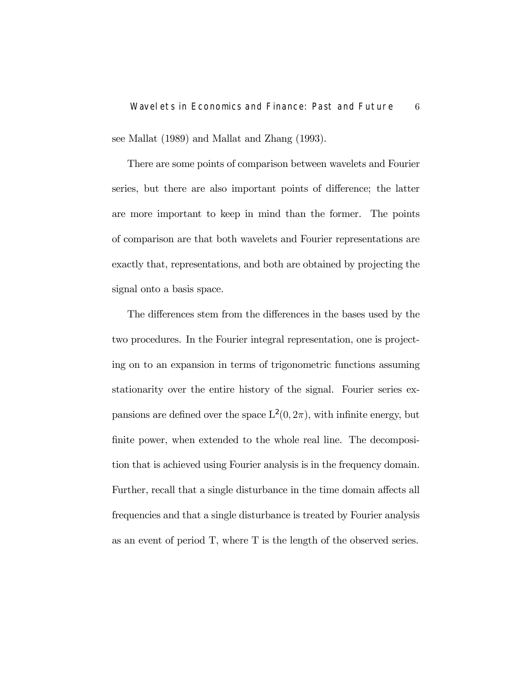see Mallat (1989) and Mallat and Zhang (1993).

There are some points of comparison between wavelets and Fourier series, but there are also important points of difference; the latter are more important to keep in mind than the former. The points of comparison are that both wavelets and Fourier representations are exactly that, representations, and both are obtained by projecting the signal onto a basis space.

The differences stem from the differences in the bases used by the two procedures. In the Fourier integral representation, one is projecting on to an expansion in terms of trigonometric functions assuming stationarity over the entire history of the signal. Fourier series expansions are defined over the space  $L^2(0, 2\pi)$ , with infinite energy, but finite power, when extended to the whole real line. The decomposition that is achieved using Fourier analysis is in the frequency domain. Further, recall that a single disturbance in the time domain affects all frequencies and that a single disturbance is treated by Fourier analysis as an event of period T, where T is the length of the observed series.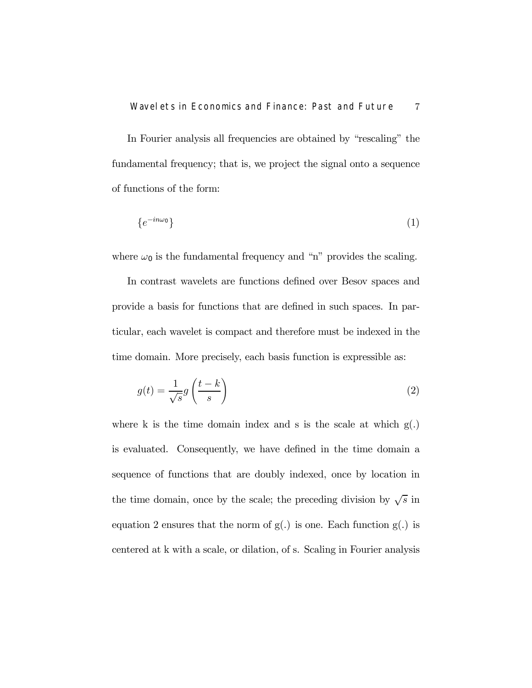In Fourier analysis all frequencies are obtained by "rescaling" the fundamental frequency; that is, we project the signal onto a sequence of functions of the form:

$$
\{e^{-in\omega_0}\}\tag{1}
$$

where  $\omega_0$  is the fundamental frequency and "n" provides the scaling.

In contrast wavelets are functions defined over Besov spaces and provide a basis for functions that are defined in such spaces. In particular, each wavelet is compact and therefore must be indexed in the time domain. More precisely, each basis function is expressible as:

$$
g(t) = \frac{1}{\sqrt{s}} g\left(\frac{t-k}{s}\right) \tag{2}
$$

where k is the time domain index and s is the scale at which  $g(.)$ is evaluated. Consequently, we have defined in the time domain a sequence of functions that are doubly indexed, once by location in the time domain, once by the scale; the preceding division by  $\sqrt{s}$  in equation 2 ensures that the norm of  $g(.)$  is one. Each function  $g(.)$  is centered at k with a scale, or dilation, of s. Scaling in Fourier analysis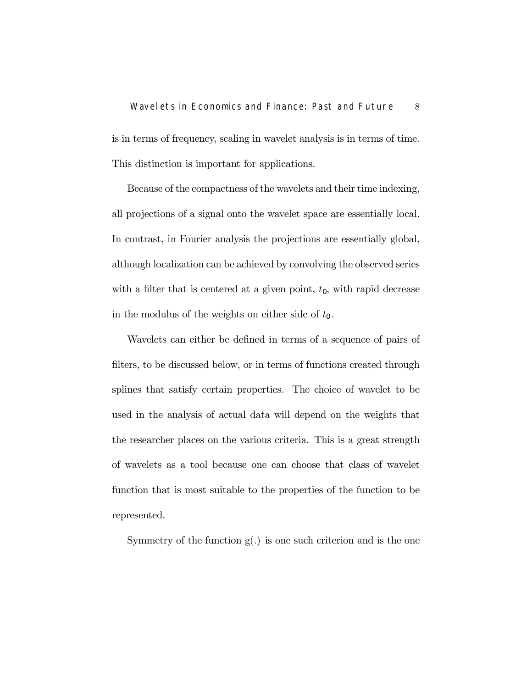## Wavelets in Economics and Finance: Past and Future 8 is in terms of frequency, scaling in wavelet analysis is in terms of time.

This distinction is important for applications.

Because of the compactness of the wavelets and their time indexing, all projections of a signal onto the wavelet space are essentially local. In contrast, in Fourier analysis the projections are essentially global, although localization can be achieved by convolving the observed series with a filter that is centered at a given point,  $t_0$ , with rapid decrease in the modulus of the weights on either side of  $t_0$ .

Wavelets can either be defined in terms of a sequence of pairs of filters, to be discussed below, or in terms of functions created through splines that satisfy certain properties. The choice of wavelet to be used in the analysis of actual data will depend on the weights that the researcher places on the various criteria. This is a great strength of wavelets as a tool because one can choose that class of wavelet function that is most suitable to the properties of the function to be represented.

Symmetry of the function  $g(.)$  is one such criterion and is the one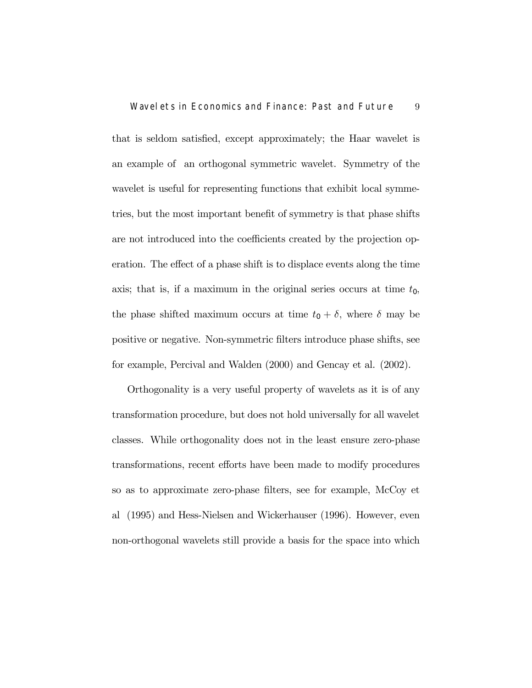that is seldom satisfied, except approximately; the Haar wavelet is an example of an orthogonal symmetric wavelet. Symmetry of the wavelet is useful for representing functions that exhibit local symmetries, but the most important benefit of symmetry is that phase shifts are not introduced into the coefficients created by the projection operation. The effect of a phase shift is to displace events along the time axis; that is, if a maximum in the original series occurs at time  $t_0$ , the phase shifted maximum occurs at time  $t_0 + \delta$ , where  $\delta$  may be positive or negative. Non-symmetric filters introduce phase shifts, see for example, Percival and Walden (2000) and Gencay et al. (2002).

Orthogonality is a very useful property of wavelets as it is of any transformation procedure, but does not hold universally for all wavelet classes. While orthogonality does not in the least ensure zero-phase transformations, recent efforts have been made to modify procedures so as to approximate zero-phase filters, see for example, McCoy et al (1995) and Hess-Nielsen and Wickerhauser (1996). However, even non-orthogonal wavelets still provide a basis for the space into which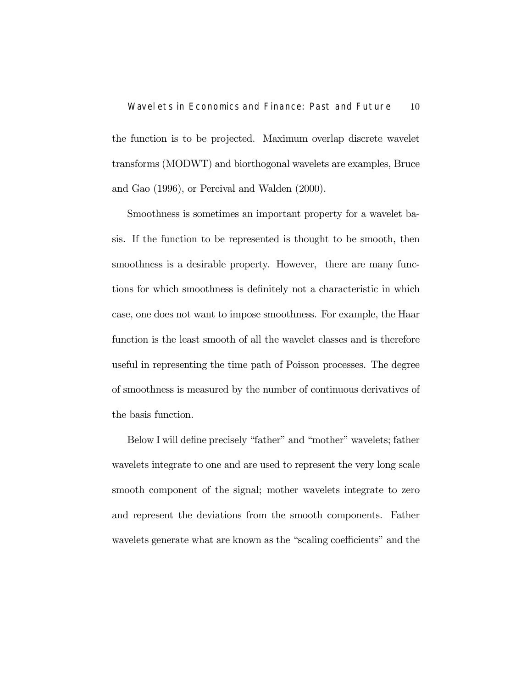the function is to be projected. Maximum overlap discrete wavelet transforms (MODWT) and biorthogonal wavelets are examples, Bruce and Gao (1996), or Percival and Walden (2000).

Smoothness is sometimes an important property for a wavelet basis. If the function to be represented is thought to be smooth, then smoothness is a desirable property. However, there are many functions for which smoothness is definitely not a characteristic in which case, one does not want to impose smoothness. For example, the Haar function is the least smooth of all the wavelet classes and is therefore useful in representing the time path of Poisson processes. The degree of smoothness is measured by the number of continuous derivatives of the basis function.

Below I will define precisely "father" and "mother" wavelets; father wavelets integrate to one and are used to represent the very long scale smooth component of the signal; mother wavelets integrate to zero and represent the deviations from the smooth components. Father wavelets generate what are known as the "scaling coefficients" and the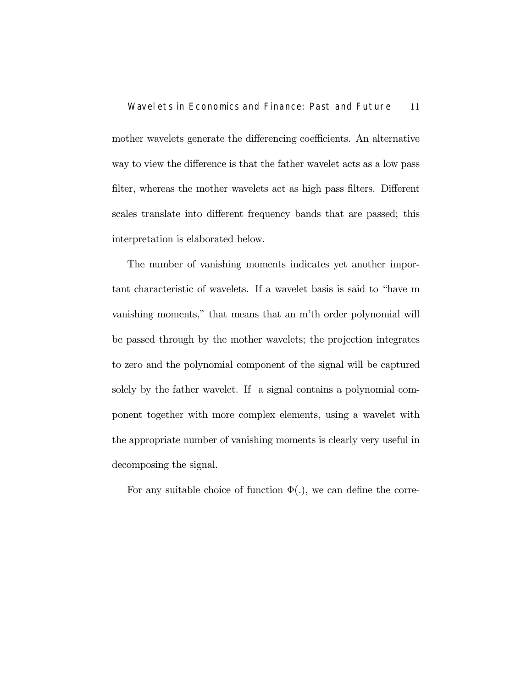mother wavelets generate the differencing coefficients. An alternative way to view the difference is that the father wavelet acts as a low pass filter, whereas the mother wavelets act as high pass filters. Different scales translate into different frequency bands that are passed; this interpretation is elaborated below.

The number of vanishing moments indicates yet another important characteristic of wavelets. If a wavelet basis is said to "have m vanishing moments," that means that an m'th order polynomial will be passed through by the mother wavelets; the projection integrates to zero and the polynomial component of the signal will be captured solely by the father wavelet. If a signal contains a polynomial component together with more complex elements, using a wavelet with the appropriate number of vanishing moments is clearly very useful in decomposing the signal.

For any suitable choice of function  $\Phi(.)$ , we can define the corre-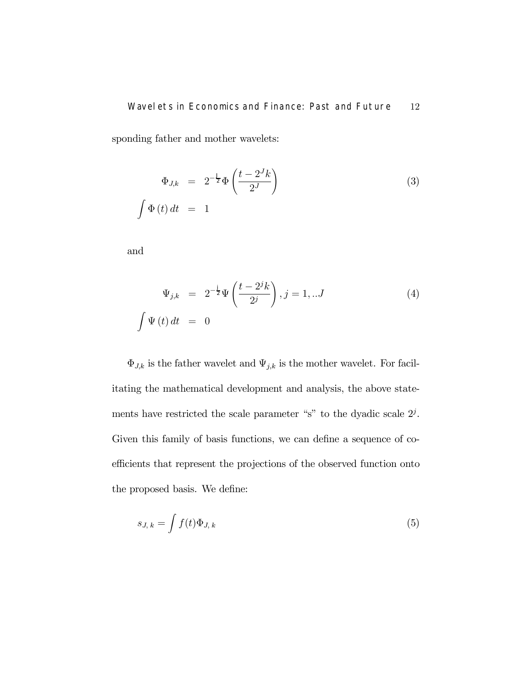### Wavelets in Economics and Finance: Past and Future 12

sponding father and mother wavelets:

$$
\Phi_{J,k} = 2^{-\frac{J}{2}} \Phi\left(\frac{t - 2^{J} k}{2^{J}}\right)
$$
\n
$$
\int \Phi(t) dt = 1
$$
\n(3)

and

$$
\Psi_{j,k} = 2^{-\frac{1}{2}} \Psi\left(\frac{t - 2^{j} k}{2^{j}}\right), j = 1, ... J
$$
\n
$$
\int \Psi(t) dt = 0
$$
\n(4)

 $\Phi_{J,k}$  is the father wavelet and  $\Psi_{j,k}$  is the mother wavelet. For facilitating the mathematical development and analysis, the above statements have restricted the scale parameter "s" to the dyadic scale  $2<sup>j</sup>$ . Given this family of basis functions, we can define a sequence of coefficients that represent the projections of the observed function onto the proposed basis. We define:

$$
s_{J,k} = \int f(t)\Phi_{J,k} \tag{5}
$$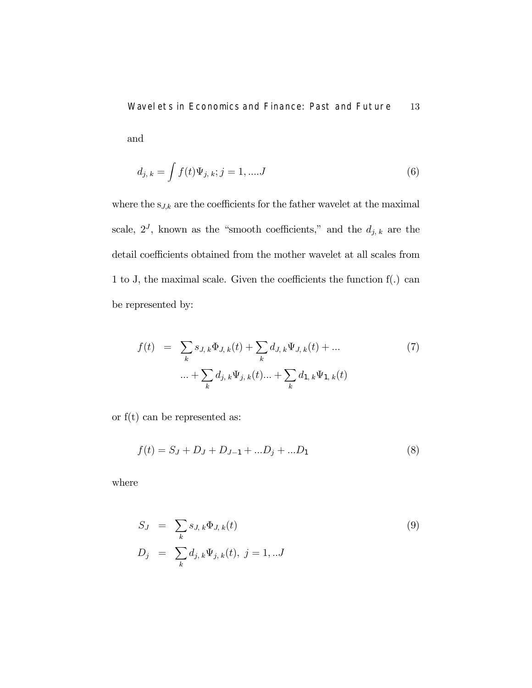Wavelets in Economics and Finance: Past and Future 13 and

$$
d_{j,k} = \int f(t)\Psi_{j,k}; j = 1, \dots J
$$
 (6)

where the  $\mathbf{s}_{J,k}$  are the coefficients for the father wavelet at the maximal scale,  $2^J$ , known as the "smooth coefficients," and the  $d_{j, k}$  are the detail coefficients obtained from the mother wavelet at all scales from 1 to J, the maximal scale. Given the coefficients the function f(.) can be represented by:

$$
f(t) = \sum_{k} s_{J,k} \Phi_{J,k}(t) + \sum_{k} d_{J,k} \Psi_{J,k}(t) + \dots
$$

$$
\dots + \sum_{k} d_{j,k} \Psi_{j,k}(t) + \sum_{k} d_{1,k} \Psi_{1,k}(t)
$$
(7)

or  $f(t)$  can be represented as:

$$
f(t) = SJ + DJ + DJ-1 + ...Dj + ...D1
$$
 (8)

where

$$
S_J = \sum_{k} s_{J, k} \Phi_{J, k}(t)
$$
  
\n
$$
D_j = \sum_{k} d_{j, k} \Psi_{j, k}(t), j = 1, ...J
$$
\n(9)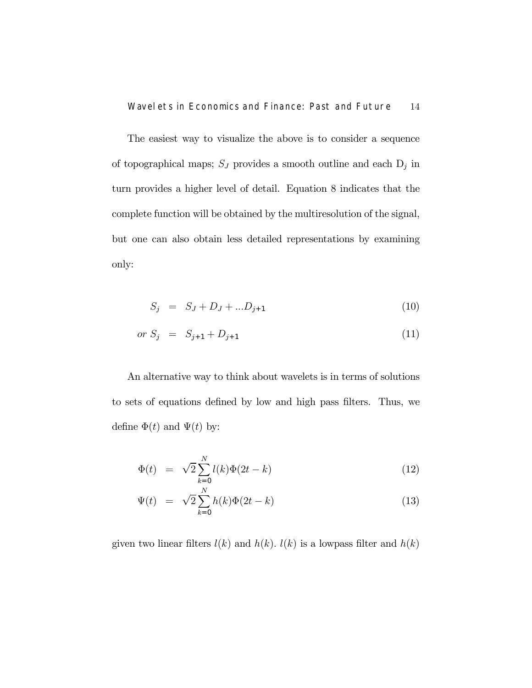The easiest way to visualize the above is to consider a sequence of topographical maps;  $\mathcal{S}_J$  provides a smooth outline and each  $\mathbf{D}_j$  in turn provides a higher level of detail. Equation 8 indicates that the complete function will be obtained by the multiresolution of the signal, but one can also obtain less detailed representations by examining only:

$$
S_j = S_J + D_J + ... D_{j+1}
$$
\n(10)

$$
or S_j = S_{j+1} + D_{j+1} \tag{11}
$$

An alternative way to think about wavelets is in terms of solutions to sets of equations defined by low and high pass filters. Thus, we define  $\Phi(t)$  and  $\Psi(t)$  by:

$$
\Phi(t) = \sqrt{2} \sum_{k=0}^{N} l(k) \Phi(2t - k)
$$
\n(12)

$$
\Psi(t) = \sqrt{2} \sum_{k=0}^{N} h(k) \Phi(2t - k)
$$
\n(13)

given two linear filters  $l(k)$  and  $h(k)$ .  $l(k)$  is a lowpass filter and  $h(k)$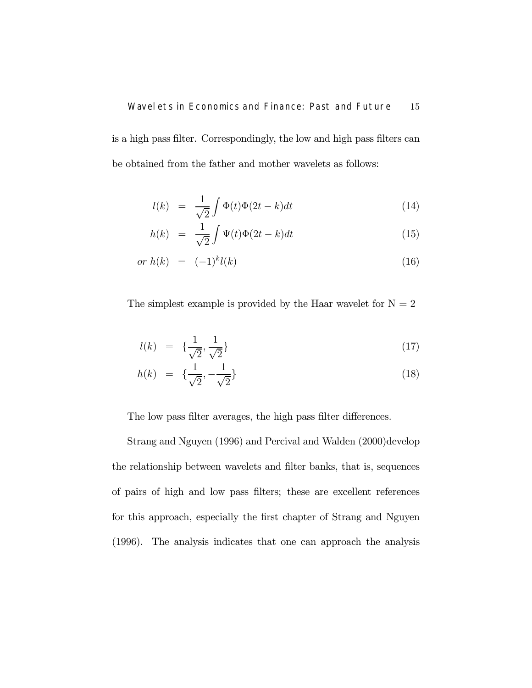is a high pass filter. Correspondingly, the low and high pass filters can be obtained from the father and mother wavelets as follows:

$$
l(k) = \frac{1}{\sqrt{2}} \int \Phi(t)\Phi(2t - k)dt
$$
\n(14)

$$
h(k) = \frac{1}{\sqrt{2}} \int \Psi(t)\Phi(2t - k)dt
$$
\n(15)

$$
or \; h(k) \;\; = \;\; (-1)^k l(k) \tag{16}
$$

The simplest example is provided by the Haar wavelet for  $N = 2$ 

$$
l(k) = \{\frac{1}{\sqrt{2}}, \frac{1}{\sqrt{2}}\}\tag{17}
$$

$$
h(k) = \{\frac{1}{\sqrt{2}}, -\frac{1}{\sqrt{2}}\}\tag{18}
$$

The low pass filter averages, the high pass filter differences.

Strang and Nguyen (1996) and Percival and Walden (2000)develop the relationship between wavelets and filter banks, that is, sequences of pairs of high and low pass filters; these are excellent references for this approach, especially the first chapter of Strang and Nguyen (1996). The analysis indicates that one can approach the analysis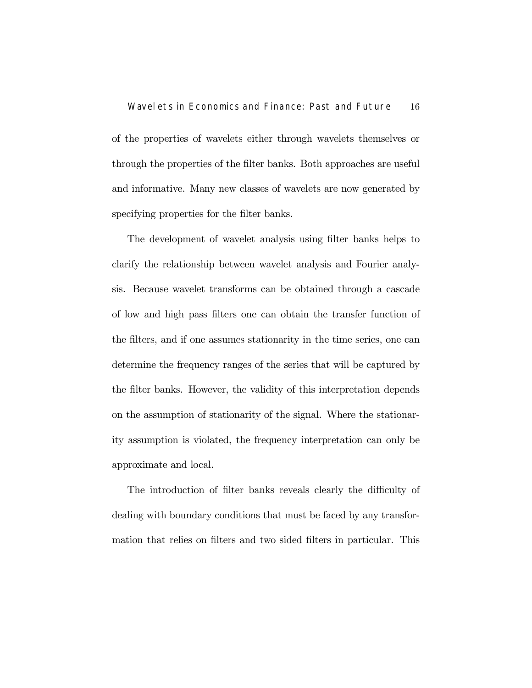of the properties of wavelets either through wavelets themselves or through the properties of the filter banks. Both approaches are useful and informative. Many new classes of wavelets are now generated by specifying properties for the filter banks.

The development of wavelet analysis using filter banks helps to clarify the relationship between wavelet analysis and Fourier analysis. Because wavelet transforms can be obtained through a cascade of low and high pass filters one can obtain the transfer function of the filters, and if one assumes stationarity in the time series, one can determine the frequency ranges of the series that will be captured by the filter banks. However, the validity of this interpretation depends on the assumption of stationarity of the signal. Where the stationarity assumption is violated, the frequency interpretation can only be approximate and local.

The introduction of filter banks reveals clearly the difficulty of dealing with boundary conditions that must be faced by any transformation that relies on filters and two sided filters in particular. This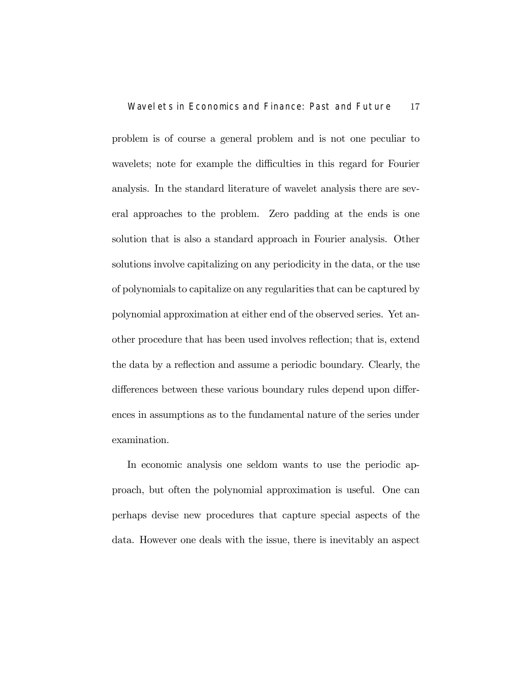problem is of course a general problem and is not one peculiar to wavelets; note for example the difficulties in this regard for Fourier analysis. In the standard literature of wavelet analysis there are several approaches to the problem. Zero padding at the ends is one solution that is also a standard approach in Fourier analysis. Other solutions involve capitalizing on any periodicity in the data, or the use of polynomials to capitalize on any regularities that can be captured by polynomial approximation at either end of the observed series. Yet another procedure that has been used involves reflection; that is, extend the data by a reflection and assume a periodic boundary. Clearly, the differences between these various boundary rules depend upon differences in assumptions as to the fundamental nature of the series under examination.

In economic analysis one seldom wants to use the periodic approach, but often the polynomial approximation is useful. One can perhaps devise new procedures that capture special aspects of the data. However one deals with the issue, there is inevitably an aspect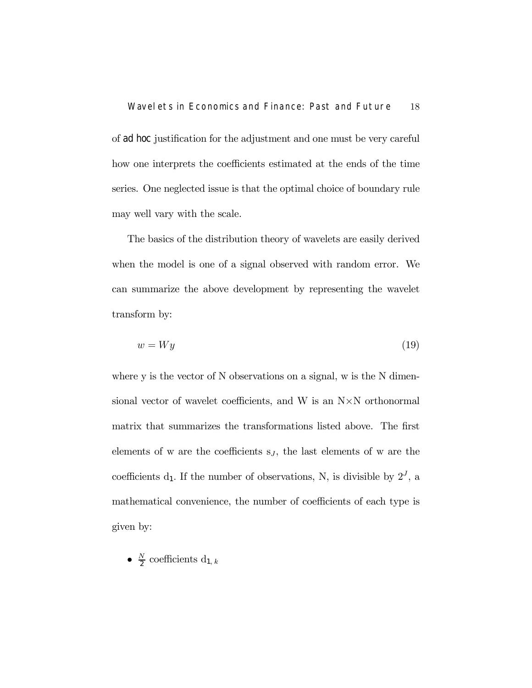of ad hoc justification for the adjustment and one must be very careful how one interprets the coefficients estimated at the ends of the time series. One neglected issue is that the optimal choice of boundary rule may well vary with the scale.

The basics of the distribution theory of wavelets are easily derived when the model is one of a signal observed with random error. We can summarize the above development by representing the wavelet transform by:

$$
w = Wy \tag{19}
$$

where y is the vector of N observations on a signal, w is the N dimensional vector of wavelet coefficients, and W is an N×N orthonormal matrix that summarizes the transformations listed above. The first elements of w are the coefficients  $s_j$ , the last elements of w are the coefficients  $d_1$ . If the number of observations, N, is divisible by  $2^J$ , a mathematical convenience, the number of coefficients of each type is given by:

•  $\frac{N}{2}$  coefficients  $d_{1, k}$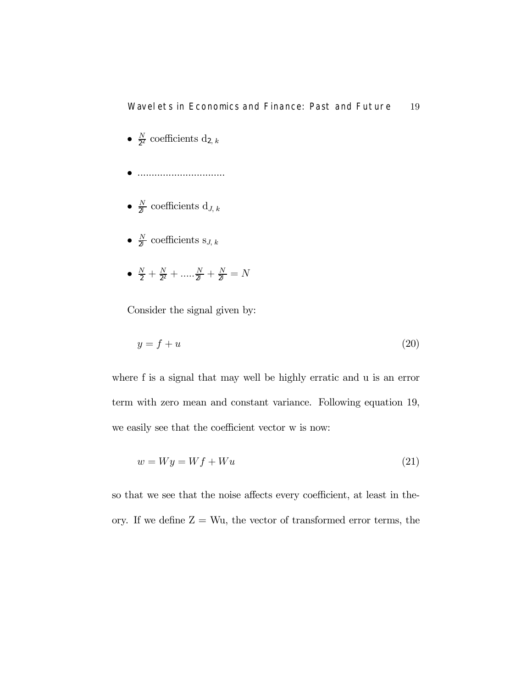### Wavelets in Economics and Finance: Past and Future 19

- $\frac{N}{2^2}$  coefficients  $d_{2, k}$
- ...............................
- $\frac{N}{2^J}$  coefficients  $d_{J, k}$
- $\frac{N}{2^J}$  coefficients s<sub>J, k</sub>
- $\frac{N}{2} + \frac{N}{2^2} + \dots + \frac{N}{2^J} + \frac{N}{2^J} = N$

Consider the signal given by:

$$
y = f + u \tag{20}
$$

where f is a signal that may well be highly erratic and u is an error term with zero mean and constant variance. Following equation 19, we easily see that the coefficient vector w is now:

$$
w = Wy = Wf + Wu \tag{21}
$$

so that we see that the noise affects every coefficient, at least in theory. If we define  $Z = Wu$ , the vector of transformed error terms, the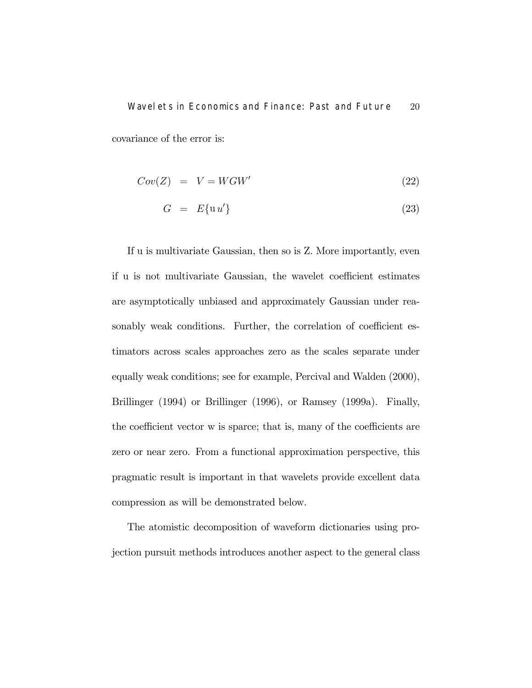## Wavelets in Economics and Finance: Past and Future 20 covariance of the error is:

$$
Cov(Z) = V = WGW'
$$
\n(22)

$$
G = E\{\mathrm{u}\,u'\}\tag{23}
$$

If u is multivariate Gaussian, then so is Z. More importantly, even if u is not multivariate Gaussian, the wavelet coefficient estimates are asymptotically unbiased and approximately Gaussian under reasonably weak conditions. Further, the correlation of coefficient estimators across scales approaches zero as the scales separate under equally weak conditions; see for example, Percival and Walden (2000), Brillinger (1994) or Brillinger (1996), or Ramsey (1999a). Finally, the coefficient vector w is sparce; that is, many of the coefficients are zero or near zero. From a functional approximation perspective, this pragmatic result is important in that wavelets provide excellent data compression as will be demonstrated below.

The atomistic decomposition of waveform dictionaries using projection pursuit methods introduces another aspect to the general class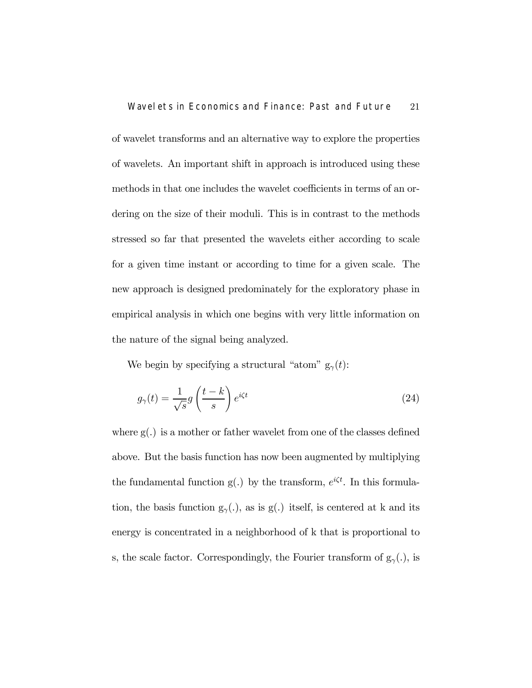of wavelet transforms and an alternative way to explore the properties of wavelets. An important shift in approach is introduced using these methods in that one includes the wavelet coefficients in terms of an ordering on the size of their moduli. This is in contrast to the methods stressed so far that presented the wavelets either according to scale for a given time instant or according to time for a given scale. The new approach is designed predominately for the exploratory phase in empirical analysis in which one begins with very little information on the nature of the signal being analyzed.

We begin by specifying a structural "atom"  $g_{\gamma}(t)$ :

$$
g_{\gamma}(t) = \frac{1}{\sqrt{s}} g\left(\frac{t-k}{s}\right) e^{i\zeta t}
$$
 (24)

where  $g(.)$  is a mother or father wavelet from one of the classes defined above. But the basis function has now been augmented by multiplying the fundamental function  $g(.)$  by the transform,  $e^{i\zeta t}$ . In this formulation, the basis function  $g_{\gamma}(.)$ , as is g(.) itself, is centered at k and its energy is concentrated in a neighborhood of k that is proportional to s, the scale factor. Correspondingly, the Fourier transform of  $g_\gamma (.),$  is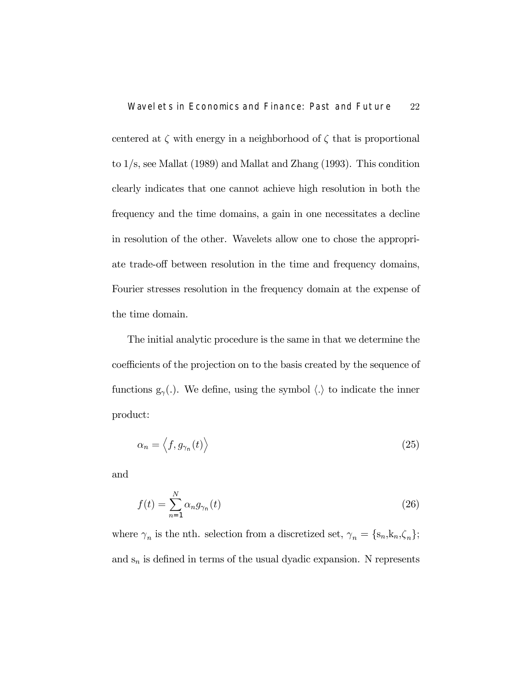centered at  $\zeta$  with energy in a neighborhood of  $\zeta$  that is proportional to 1/s, see Mallat (1989) and Mallat and Zhang (1993). This condition clearly indicates that one cannot achieve high resolution in both the frequency and the time domains, a gain in one necessitates a decline in resolution of the other. Wavelets allow one to chose the appropriate trade-off between resolution in the time and frequency domains, Fourier stresses resolution in the frequency domain at the expense of the time domain.

The initial analytic procedure is the same in that we determine the coefficients of the projection on to the basis created by the sequence of functions  $g_{\gamma}(\cdot)$ . We define, using the symbol  $\langle \cdot \rangle$  to indicate the inner product:

$$
\alpha_n = \left\langle f, g_{\gamma_n}(t) \right\rangle \tag{25}
$$

and

$$
f(t) = \sum_{n=1}^{N} \alpha_n g_{\gamma_n}(t)
$$
\n(26)

where  $\gamma_n$  is the nth. selection from a discretized set,  $\gamma_n = \{s_n, k_n, \zeta_n\};$ and  $s_n$  is defined in terms of the usual dyadic expansion. N represents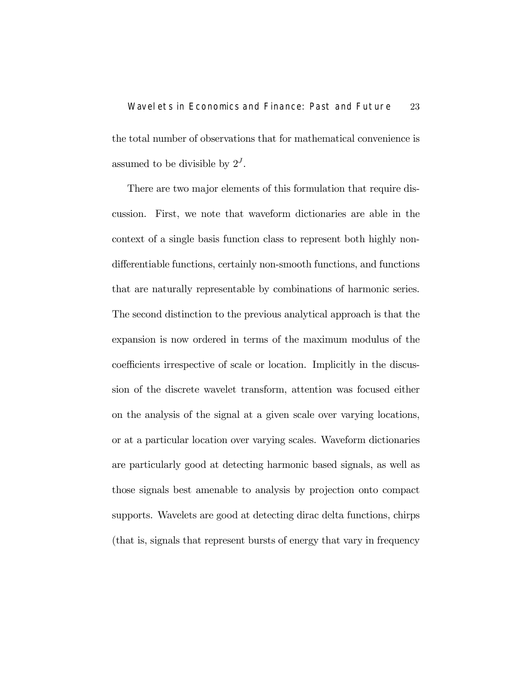# Wavelets in Economics and Finance: Past and Future 23 the total number of observations that for mathematical convenience is assumed to be divisible by  $2^J$ .

There are two major elements of this formulation that require discussion. First, we note that waveform dictionaries are able in the context of a single basis function class to represent both highly nondifferentiable functions, certainly non-smooth functions, and functions that are naturally representable by combinations of harmonic series. The second distinction to the previous analytical approach is that the expansion is now ordered in terms of the maximum modulus of the coefficients irrespective of scale or location. Implicitly in the discussion of the discrete wavelet transform, attention was focused either on the analysis of the signal at a given scale over varying locations, or at a particular location over varying scales. Waveform dictionaries are particularly good at detecting harmonic based signals, as well as those signals best amenable to analysis by projection onto compact supports. Wavelets are good at detecting dirac delta functions, chirps (that is, signals that represent bursts of energy that vary in frequency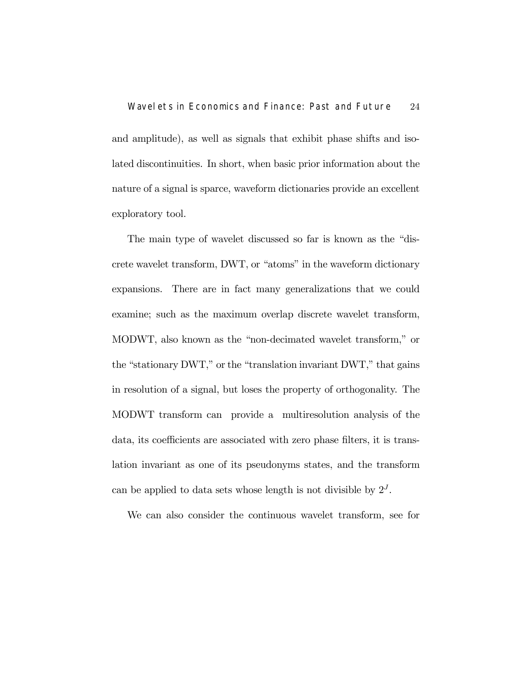and amplitude), as well as signals that exhibit phase shifts and isolated discontinuities. In short, when basic prior information about the nature of a signal is sparce, waveform dictionaries provide an excellent exploratory tool.

The main type of wavelet discussed so far is known as the "discrete wavelet transform, DWT, or "atoms" in the waveform dictionary expansions. There are in fact many generalizations that we could examine; such as the maximum overlap discrete wavelet transform, MODWT, also known as the "non-decimated wavelet transform," or the "stationary DWT," or the "translation invariant DWT," that gains in resolution of a signal, but loses the property of orthogonality. The MODWT transform can provide a multiresolution analysis of the data, its coefficients are associated with zero phase filters, it is translation invariant as one of its pseudonyms states, and the transform can be applied to data sets whose length is not divisible by  $2^J$ .

We can also consider the continuous wavelet transform, see for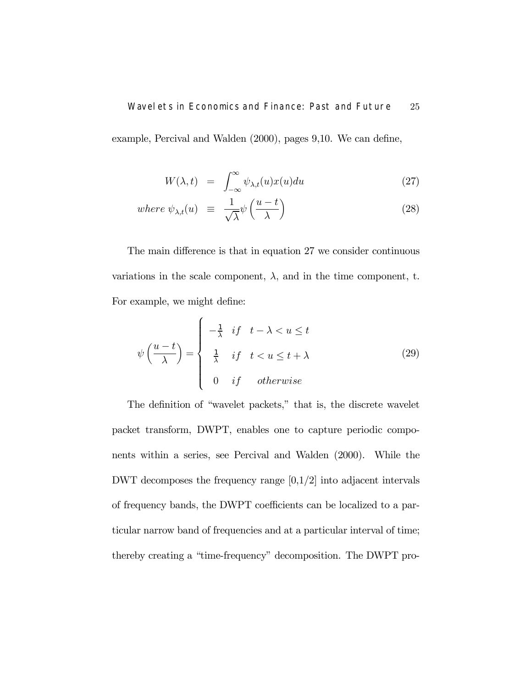### Wavelets in Economics and Finance: Past and Future 25

example, Percival and Walden (2000), pages 9,10. We can define,

$$
W(\lambda, t) = \int_{-\infty}^{\infty} \psi_{\lambda, t}(u) x(u) du \qquad (27)
$$

where 
$$
\psi_{\lambda,t}(u) \equiv \frac{1}{\sqrt{\lambda}} \psi\left(\frac{u-t}{\lambda}\right)
$$
 (28)

The main difference is that in equation 27 we consider continuous variations in the scale component,  $\lambda$ , and in the time component, t. For example, we might define:

$$
\psi\left(\frac{u-t}{\lambda}\right) = \begin{cases}\n-\frac{1}{\lambda} & \text{if } t - \lambda < u \le t \\
\frac{1}{\lambda} & \text{if } t < u \le t + \lambda \\
0 & \text{if } \text{otherwise}\n\end{cases}
$$
\n(29)

The definition of "wavelet packets," that is, the discrete wavelet packet transform, DWPT, enables one to capture periodic components within a series, see Percival and Walden (2000). While the DWT decomposes the frequency range  $[0,1/2]$  into adjacent intervals of frequency bands, the DWPT coefficients can be localized to a particular narrow band of frequencies and at a particular interval of time; thereby creating a "time-frequency" decomposition. The DWPT pro-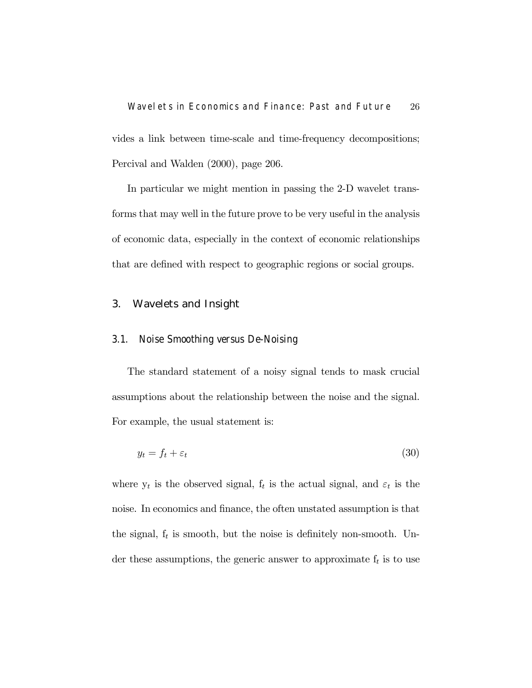Wavelets in Economics and Finance: Past and Future 26 vides a link between time-scale and time-frequency decompositions; Percival and Walden (2000), page 206.

In particular we might mention in passing the 2-D wavelet transforms that may well in the future prove to be very useful in the analysis of economic data, especially in the context of economic relationships that are defined with respect to geographic regions or social groups.

### 3. Wavelets and Insight

#### 3.1. Noise Smoothing versus De-Noising

The standard statement of a noisy signal tends to mask crucial assumptions about the relationship between the noise and the signal. For example, the usual statement is:

$$
y_t = f_t + \varepsilon_t \tag{30}
$$

where  $y_t$  is the observed signal,  $f_t$  is the actual signal, and  $\varepsilon_t$  is the noise. In economics and finance, the often unstated assumption is that the signal,  $f_t$  is smooth, but the noise is definitely non-smooth. Under these assumptions, the generic answer to approximate  $f_t$  is to use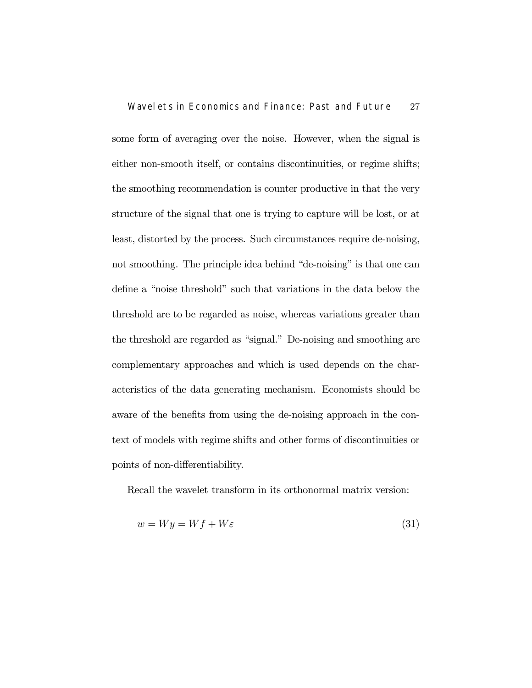some form of averaging over the noise. However, when the signal is either non-smooth itself, or contains discontinuities, or regime shifts; the smoothing recommendation is counter productive in that the very structure of the signal that one is trying to capture will be lost, or at least, distorted by the process. Such circumstances require de-noising, not smoothing. The principle idea behind "de-noising" is that one can define a "noise threshold" such that variations in the data below the threshold are to be regarded as noise, whereas variations greater than the threshold are regarded as "signal." De-noising and smoothing are complementary approaches and which is used depends on the characteristics of the data generating mechanism. Economists should be aware of the benefits from using the de-noising approach in the context of models with regime shifts and other forms of discontinuities or points of non-differentiability.

Recall the wavelet transform in its orthonormal matrix version:

$$
w = Wy = Wf + W\varepsilon
$$
\n(31)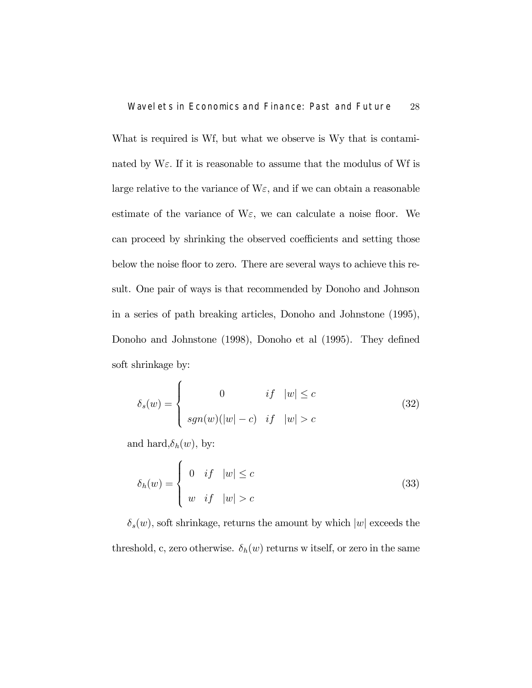What is required is Wf, but what we observe is Wy that is contaminated by  $W_{\mathcal{E}}$ . If it is reasonable to assume that the modulus of Wf is large relative to the variance of  $W_{\mathcal{E}}$ , and if we can obtain a reasonable estimate of the variance of  $W_{\mathcal{E}}$ , we can calculate a noise floor. We can proceed by shrinking the observed coefficients and setting those below the noise floor to zero. There are several ways to achieve this result. One pair of ways is that recommended by Donoho and Johnson in a series of path breaking articles, Donoho and Johnstone (1995), Donoho and Johnstone (1998), Donoho et al (1995). They defined soft shrinkage by:

$$
\delta_s(w) = \begin{cases}\n0 & if \quad |w| \le c \\
sgn(w)(|w| - c) & if \quad |w| > c\n\end{cases}
$$
\n(32)

and hard, $\delta_h(w)$ , by:

$$
\delta_h(w) = \begin{cases} 0 & \text{if } |w| \le c \\ w & \text{if } |w| > c \end{cases}
$$
 (33)

 $\delta_s(w)$ , soft shrinkage, returns the amount by which  $|w|$  exceeds the threshold, c, zero otherwise.  $\delta_h(w)$  returns w itself, or zero in the same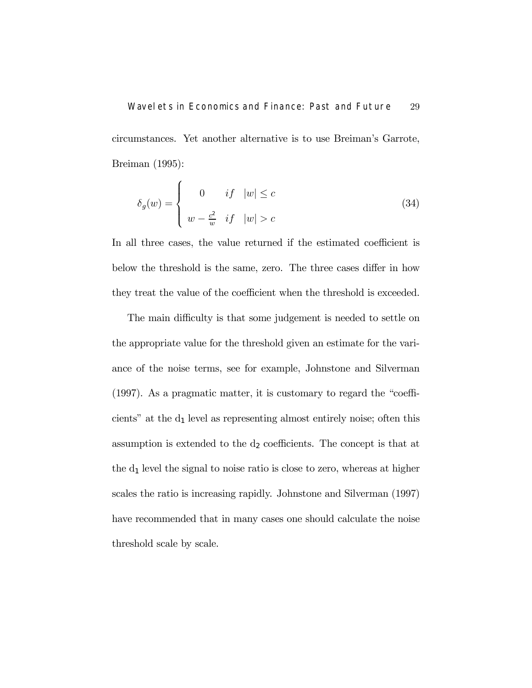# Wavelets in Economics and Finance: Past and Future 29 circumstances. Yet another alternative is to use Breiman's Garrote, Breiman (1995):

$$
\delta_g(w) = \begin{cases}\n0 & if \quad |w| \le c \\
w - \frac{c^2}{w} & if \quad |w| > c\n\end{cases}
$$
\n(34)

In all three cases, the value returned if the estimated coefficient is below the threshold is the same, zero. The three cases differ in how they treat the value of the coefficient when the threshold is exceeded.

The main difficulty is that some judgement is needed to settle on the appropriate value for the threshold given an estimate for the variance of the noise terms, see for example, Johnstone and Silverman (1997). As a pragmatic matter, it is customary to regard the "coefficients" at the  $d_1$  level as representing almost entirely noise; often this assumption is extended to the  $d_2$  coefficients. The concept is that at the  $d_1$  level the signal to noise ratio is close to zero, whereas at higher scales the ratio is increasing rapidly. Johnstone and Silverman (1997) have recommended that in many cases one should calculate the noise threshold scale by scale.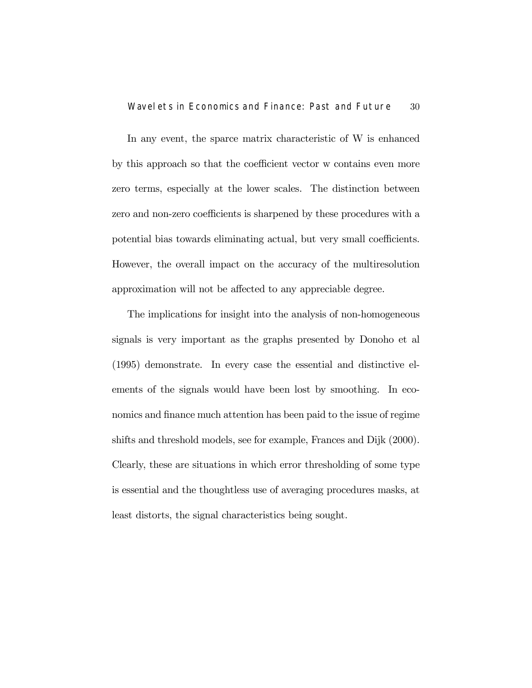In any event, the sparce matrix characteristic of W is enhanced by this approach so that the coefficient vector w contains even more zero terms, especially at the lower scales. The distinction between zero and non-zero coefficients is sharpened by these procedures with a potential bias towards eliminating actual, but very small coefficients. However, the overall impact on the accuracy of the multiresolution approximation will not be affected to any appreciable degree.

The implications for insight into the analysis of non-homogeneous signals is very important as the graphs presented by Donoho et al (1995) demonstrate. In every case the essential and distinctive elements of the signals would have been lost by smoothing. In economics and finance much attention has been paid to the issue of regime shifts and threshold models, see for example, Frances and Dijk (2000). Clearly, these are situations in which error thresholding of some type is essential and the thoughtless use of averaging procedures masks, at least distorts, the signal characteristics being sought.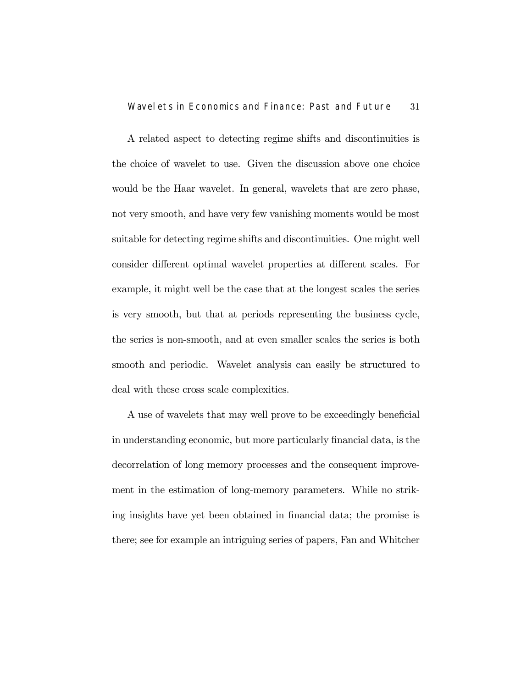A related aspect to detecting regime shifts and discontinuities is the choice of wavelet to use. Given the discussion above one choice would be the Haar wavelet. In general, wavelets that are zero phase, not very smooth, and have very few vanishing moments would be most suitable for detecting regime shifts and discontinuities. One might well consider different optimal wavelet properties at different scales. For example, it might well be the case that at the longest scales the series is very smooth, but that at periods representing the business cycle, the series is non-smooth, and at even smaller scales the series is both smooth and periodic. Wavelet analysis can easily be structured to deal with these cross scale complexities.

A use of wavelets that may well prove to be exceedingly beneficial in understanding economic, but more particularly financial data, is the decorrelation of long memory processes and the consequent improvement in the estimation of long-memory parameters. While no striking insights have yet been obtained in financial data; the promise is there; see for example an intriguing series of papers, Fan and Whitcher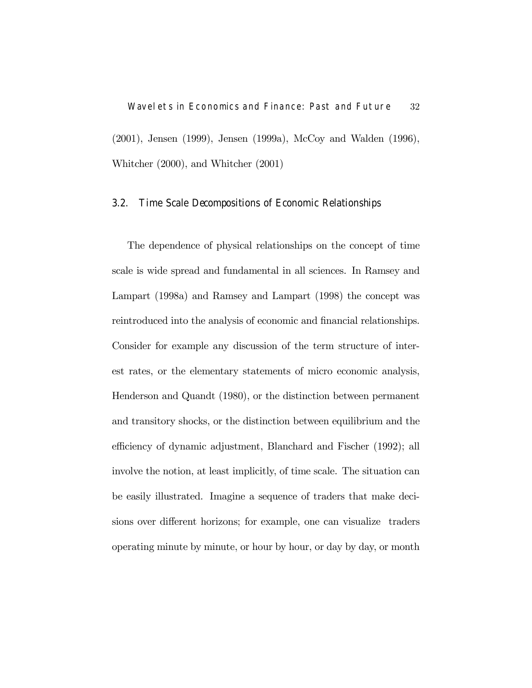Wavelets in Economics and Finance: Past and Future 32 (2001), Jensen (1999), Jensen (1999a), McCoy and Walden (1996), Whitcher (2000), and Whitcher (2001)

### 3.2. Time Scale Decompositions of Economic Relationships

The dependence of physical relationships on the concept of time scale is wide spread and fundamental in all sciences. In Ramsey and Lampart (1998a) and Ramsey and Lampart (1998) the concept was reintroduced into the analysis of economic and financial relationships. Consider for example any discussion of the term structure of interest rates, or the elementary statements of micro economic analysis, Henderson and Quandt (1980), or the distinction between permanent and transitory shocks, or the distinction between equilibrium and the efficiency of dynamic adjustment, Blanchard and Fischer (1992); all involve the notion, at least implicitly, of time scale. The situation can be easily illustrated. Imagine a sequence of traders that make decisions over different horizons; for example, one can visualize traders operating minute by minute, or hour by hour, or day by day, or month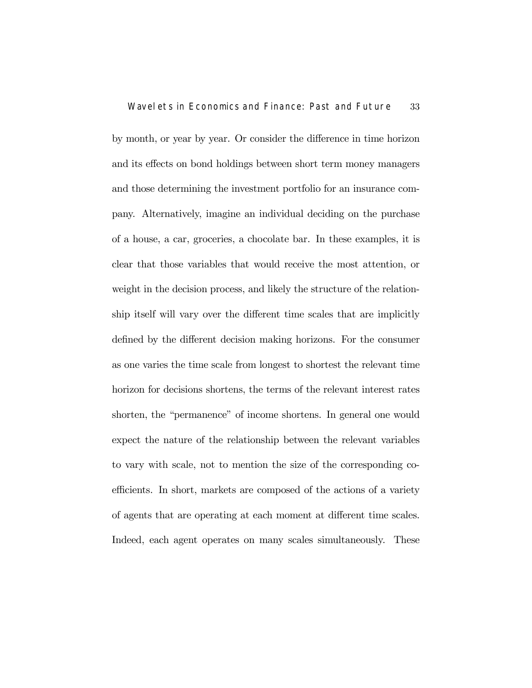by month, or year by year. Or consider the difference in time horizon and its effects on bond holdings between short term money managers and those determining the investment portfolio for an insurance company. Alternatively, imagine an individual deciding on the purchase of a house, a car, groceries, a chocolate bar. In these examples, it is clear that those variables that would receive the most attention, or weight in the decision process, and likely the structure of the relationship itself will vary over the different time scales that are implicitly defined by the different decision making horizons. For the consumer as one varies the time scale from longest to shortest the relevant time horizon for decisions shortens, the terms of the relevant interest rates shorten, the "permanence" of income shortens. In general one would expect the nature of the relationship between the relevant variables to vary with scale, not to mention the size of the corresponding coefficients. In short, markets are composed of the actions of a variety of agents that are operating at each moment at different time scales. Indeed, each agent operates on many scales simultaneously. These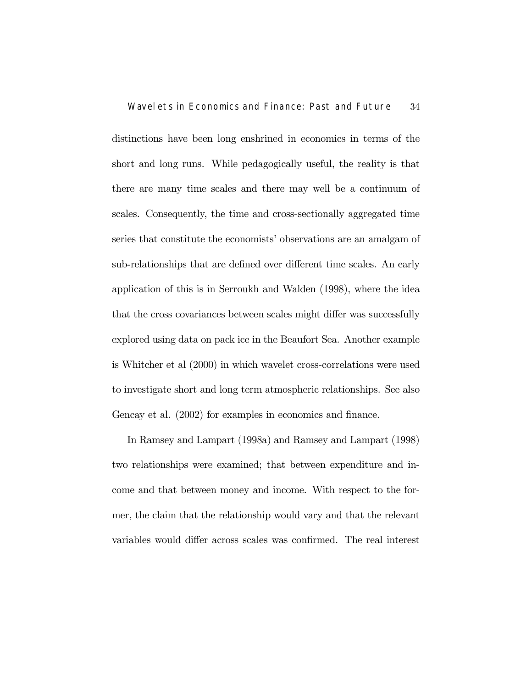distinctions have been long enshrined in economics in terms of the short and long runs. While pedagogically useful, the reality is that there are many time scales and there may well be a continuum of scales. Consequently, the time and cross-sectionally aggregated time series that constitute the economists' observations are an amalgam of sub-relationships that are defined over different time scales. An early application of this is in Serroukh and Walden (1998), where the idea that the cross covariances between scales might differ was successfully explored using data on pack ice in the Beaufort Sea. Another example is Whitcher et al (2000) in which wavelet cross-correlations were used to investigate short and long term atmospheric relationships. See also Gencay et al. (2002) for examples in economics and finance.

In Ramsey and Lampart (1998a) and Ramsey and Lampart (1998) two relationships were examined; that between expenditure and income and that between money and income. With respect to the former, the claim that the relationship would vary and that the relevant variables would differ across scales was confirmed. The real interest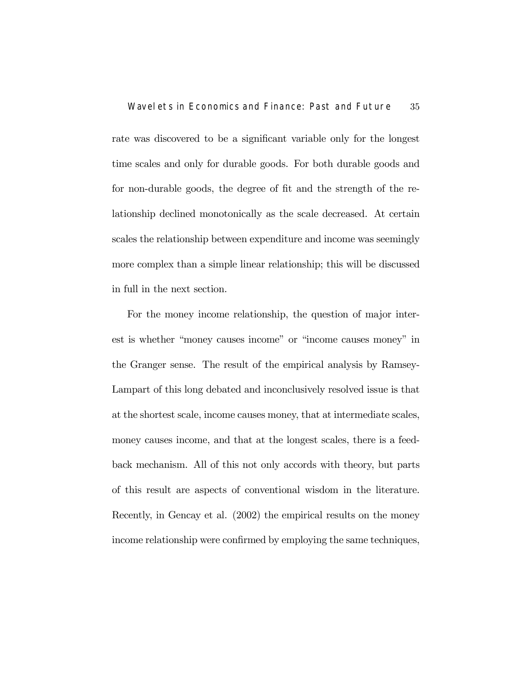rate was discovered to be a significant variable only for the longest time scales and only for durable goods. For both durable goods and for non-durable goods, the degree of fit and the strength of the relationship declined monotonically as the scale decreased. At certain scales the relationship between expenditure and income was seemingly more complex than a simple linear relationship; this will be discussed in full in the next section.

For the money income relationship, the question of major interest is whether "money causes income" or "income causes money" in the Granger sense. The result of the empirical analysis by Ramsey-Lampart of this long debated and inconclusively resolved issue is that at the shortest scale, income causes money, that at intermediate scales, money causes income, and that at the longest scales, there is a feedback mechanism. All of this not only accords with theory, but parts of this result are aspects of conventional wisdom in the literature. Recently, in Gencay et al. (2002) the empirical results on the money income relationship were confirmed by employing the same techniques,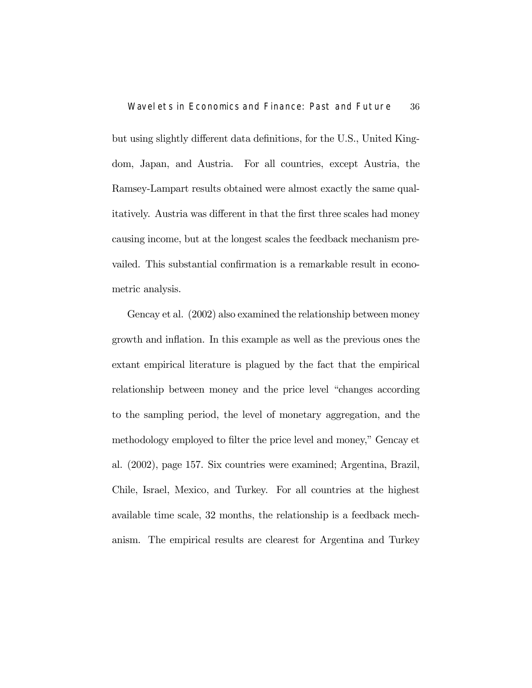but using slightly different data definitions, for the U.S., United Kingdom, Japan, and Austria. For all countries, except Austria, the Ramsey-Lampart results obtained were almost exactly the same qualitatively. Austria was different in that the first three scales had money causing income, but at the longest scales the feedback mechanism prevailed. This substantial confirmation is a remarkable result in econometric analysis.

Gencay et al. (2002) also examined the relationship between money growth and inflation. In this example as well as the previous ones the extant empirical literature is plagued by the fact that the empirical relationship between money and the price level "changes according to the sampling period, the level of monetary aggregation, and the methodology employed to filter the price level and money," Gencay et al. (2002), page 157. Six countries were examined; Argentina, Brazil, Chile, Israel, Mexico, and Turkey. For all countries at the highest available time scale, 32 months, the relationship is a feedback mechanism. The empirical results are clearest for Argentina and Turkey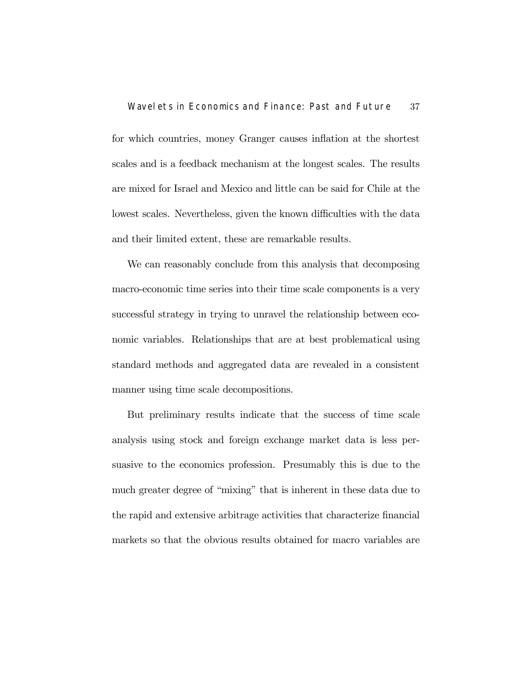for which countries, money Granger causes inflation at the shortest scales and is a feedback mechanism at the longest scales. The results are mixed for Israel and Mexico and little can be said for Chile at the lowest scales. Nevertheless, given the known difficulties with the data and their limited extent, these are remarkable results.

We can reasonably conclude from this analysis that decomposing macro-economic time series into their time scale components is a very successful strategy in trying to unravel the relationship between economic variables. Relationships that are at best problematical using standard methods and aggregated data are revealed in a consistent manner using time scale decompositions.

But preliminary results indicate that the success of time scale analysis using stock and foreign exchange market data is less persuasive to the economics profession. Presumably this is due to the much greater degree of "mixing" that is inherent in these data due to the rapid and extensive arbitrage activities that characterize financial markets so that the obvious results obtained for macro variables are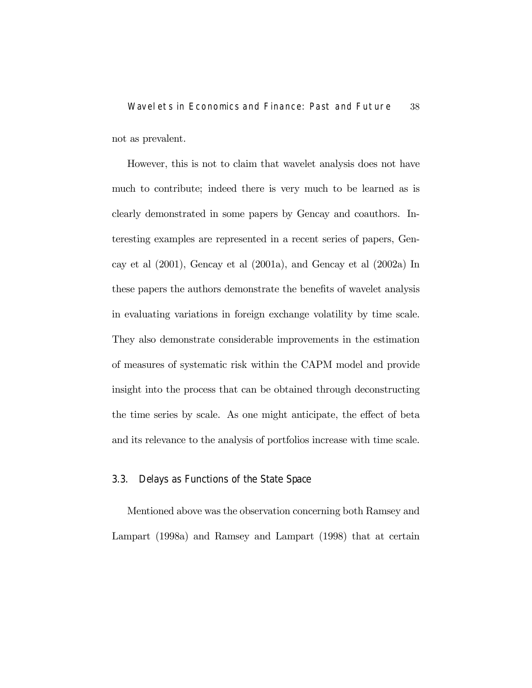## Wavelets in Economics and Finance: Past and Future 38 not as prevalent.

However, this is not to claim that wavelet analysis does not have much to contribute; indeed there is very much to be learned as is clearly demonstrated in some papers by Gencay and coauthors. Interesting examples are represented in a recent series of papers, Gencay et al (2001), Gencay et al (2001a), and Gencay et al (2002a) In these papers the authors demonstrate the benefits of wavelet analysis in evaluating variations in foreign exchange volatility by time scale. They also demonstrate considerable improvements in the estimation of measures of systematic risk within the CAPM model and provide insight into the process that can be obtained through deconstructing the time series by scale. As one might anticipate, the effect of beta and its relevance to the analysis of portfolios increase with time scale.

### 3.3. Delays as Functions of the State Space

Mentioned above was the observation concerning both Ramsey and Lampart (1998a) and Ramsey and Lampart (1998) that at certain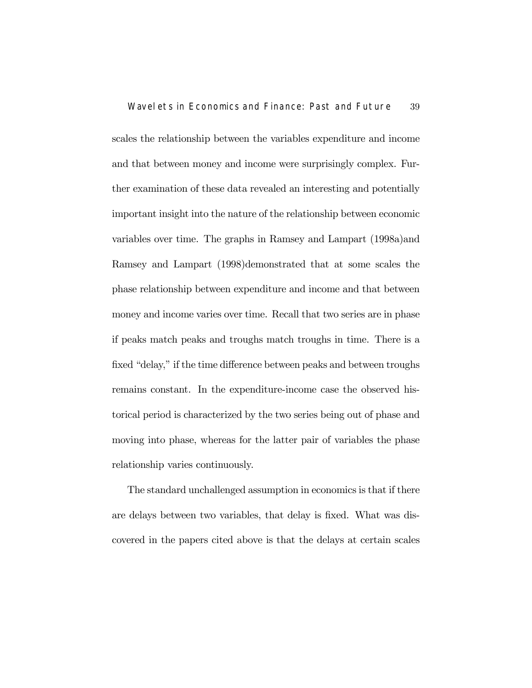scales the relationship between the variables expenditure and income and that between money and income were surprisingly complex. Further examination of these data revealed an interesting and potentially important insight into the nature of the relationship between economic variables over time. The graphs in Ramsey and Lampart (1998a)and Ramsey and Lampart (1998)demonstrated that at some scales the phase relationship between expenditure and income and that between money and income varies over time. Recall that two series are in phase if peaks match peaks and troughs match troughs in time. There is a fixed "delay," if the time difference between peaks and between troughs remains constant. In the expenditure-income case the observed historical period is characterized by the two series being out of phase and moving into phase, whereas for the latter pair of variables the phase relationship varies continuously.

The standard unchallenged assumption in economics is that if there are delays between two variables, that delay is fixed. What was discovered in the papers cited above is that the delays at certain scales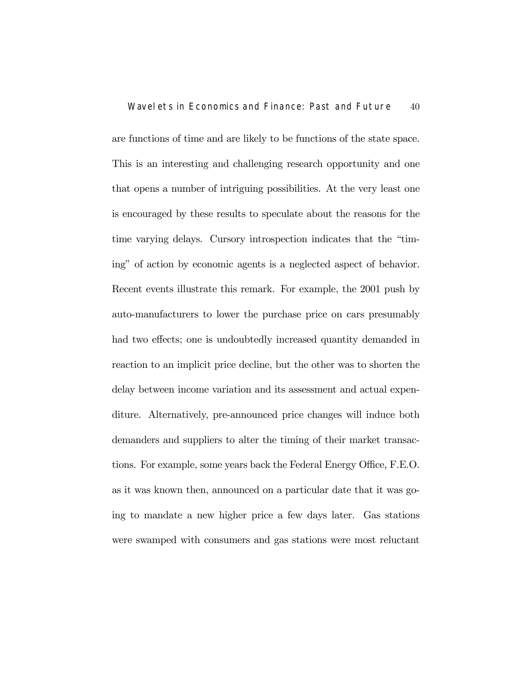are functions of time and are likely to be functions of the state space. This is an interesting and challenging research opportunity and one that opens a number of intriguing possibilities. At the very least one is encouraged by these results to speculate about the reasons for the time varying delays. Cursory introspection indicates that the "timing" of action by economic agents is a neglected aspect of behavior. Recent events illustrate this remark. For example, the 2001 push by auto-manufacturers to lower the purchase price on cars presumably had two effects; one is undoubtedly increased quantity demanded in reaction to an implicit price decline, but the other was to shorten the delay between income variation and its assessment and actual expenditure. Alternatively, pre-announced price changes will induce both demanders and suppliers to alter the timing of their market transactions. For example, some years back the Federal Energy Office, F.E.O. as it was known then, announced on a particular date that it was going to mandate a new higher price a few days later. Gas stations were swamped with consumers and gas stations were most reluctant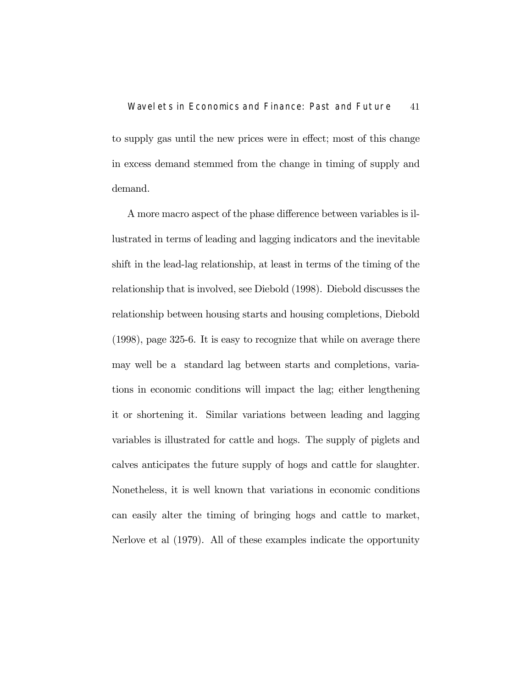to supply gas until the new prices were in effect; most of this change in excess demand stemmed from the change in timing of supply and demand.

A more macro aspect of the phase difference between variables is illustrated in terms of leading and lagging indicators and the inevitable shift in the lead-lag relationship, at least in terms of the timing of the relationship that is involved, see Diebold (1998). Diebold discusses the relationship between housing starts and housing completions, Diebold (1998), page 325-6. It is easy to recognize that while on average there may well be a standard lag between starts and completions, variations in economic conditions will impact the lag; either lengthening it or shortening it. Similar variations between leading and lagging variables is illustrated for cattle and hogs. The supply of piglets and calves anticipates the future supply of hogs and cattle for slaughter. Nonetheless, it is well known that variations in economic conditions can easily alter the timing of bringing hogs and cattle to market, Nerlove et al (1979). All of these examples indicate the opportunity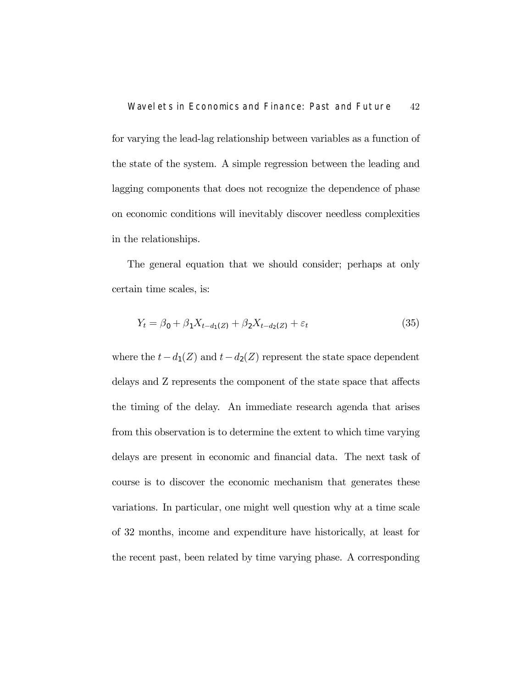for varying the lead-lag relationship between variables as a function of the state of the system. A simple regression between the leading and lagging components that does not recognize the dependence of phase on economic conditions will inevitably discover needless complexities in the relationships.

The general equation that we should consider; perhaps at only certain time scales, is:

$$
Y_t = \beta_0 + \beta_1 X_{t-d_1(Z)} + \beta_2 X_{t-d_2(Z)} + \varepsilon_t \tag{35}
$$

where the  $t-d_1(Z)$  and  $t-d_2(Z)$  represent the state space dependent delays and Z represents the component of the state space that affects the timing of the delay. An immediate research agenda that arises from this observation is to determine the extent to which time varying delays are present in economic and financial data. The next task of course is to discover the economic mechanism that generates these variations. In particular, one might well question why at a time scale of 32 months, income and expenditure have historically, at least for the recent past, been related by time varying phase. A corresponding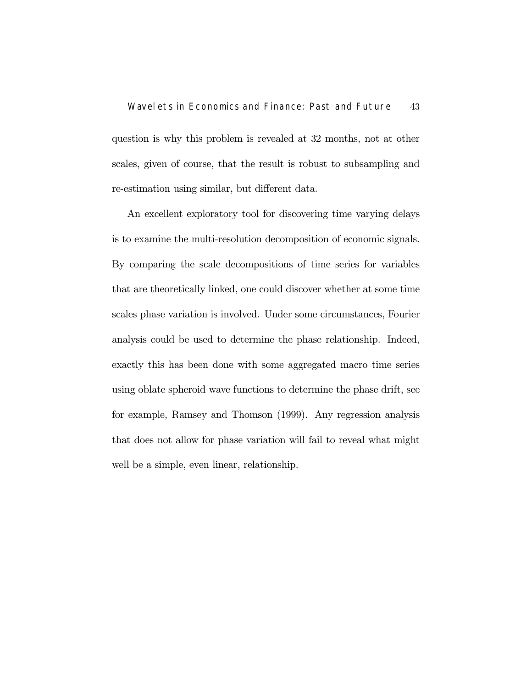question is why this problem is revealed at 32 months, not at other scales, given of course, that the result is robust to subsampling and re-estimation using similar, but different data.

An excellent exploratory tool for discovering time varying delays is to examine the multi-resolution decomposition of economic signals. By comparing the scale decompositions of time series for variables that are theoretically linked, one could discover whether at some time scales phase variation is involved. Under some circumstances, Fourier analysis could be used to determine the phase relationship. Indeed, exactly this has been done with some aggregated macro time series using oblate spheroid wave functions to determine the phase drift, see for example, Ramsey and Thomson (1999). Any regression analysis that does not allow for phase variation will fail to reveal what might well be a simple, even linear, relationship.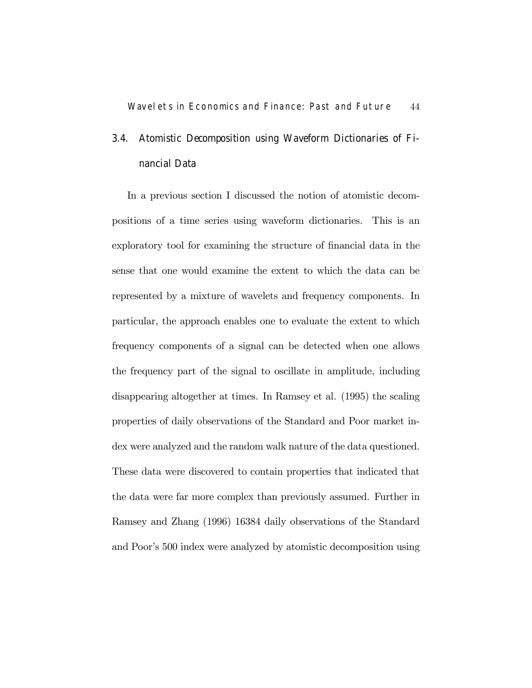### 3.4. Atomistic Decomposition using Waveform Dictionaries of Financial Data

In a previous section I discussed the notion of atomistic decompositions of a time series using waveform dictionaries. This is an exploratory tool for examining the structure of financial data in the sense that one would examine the extent to which the data can be represented by a mixture of wavelets and frequency components. In particular, the approach enables one to evaluate the extent to which frequency components of a signal can be detected when one allows the frequency part of the signal to oscillate in amplitude, including disappearing altogether at times. In Ramsey et al. (1995) the scaling properties of daily observations of the Standard and Poor market index were analyzed and the random walk nature of the data questioned. These data were discovered to contain properties that indicated that the data were far more complex than previously assumed. Further in Ramsey and Zhang (1996) 16384 daily observations of the Standard and Poor's 500 index were analyzed by atomistic decomposition using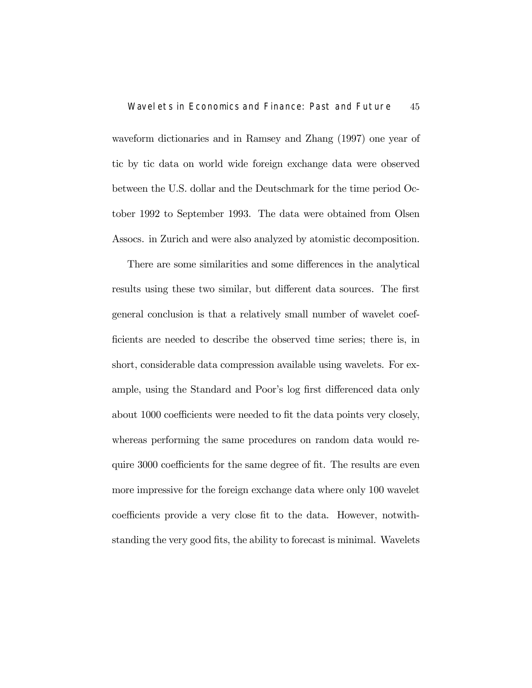waveform dictionaries and in Ramsey and Zhang (1997) one year of tic by tic data on world wide foreign exchange data were observed between the U.S. dollar and the Deutschmark for the time period October 1992 to September 1993. The data were obtained from Olsen Assocs. in Zurich and were also analyzed by atomistic decomposition.

There are some similarities and some differences in the analytical results using these two similar, but different data sources. The first general conclusion is that a relatively small number of wavelet coefficients are needed to describe the observed time series; there is, in short, considerable data compression available using wavelets. For example, using the Standard and Poor's log first differenced data only about 1000 coefficients were needed to fit the data points very closely, whereas performing the same procedures on random data would require 3000 coefficients for the same degree of fit. The results are even more impressive for the foreign exchange data where only 100 wavelet coefficients provide a very close fit to the data. However, notwithstanding the very good fits, the ability to forecast is minimal. Wavelets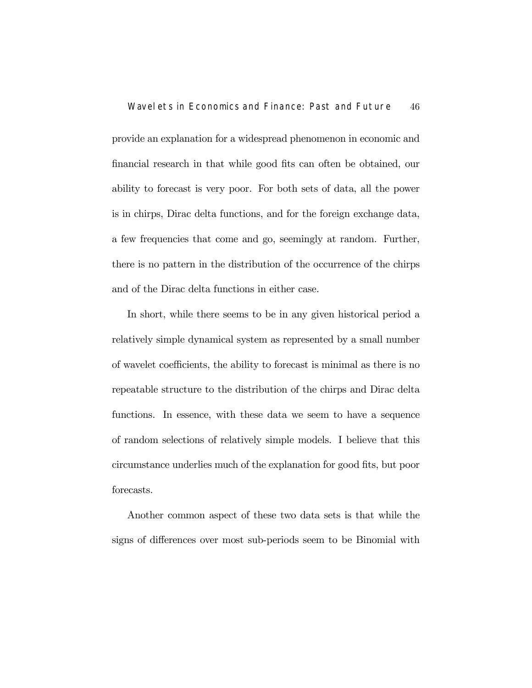provide an explanation for a widespread phenomenon in economic and financial research in that while good fits can often be obtained, our ability to forecast is very poor. For both sets of data, all the power is in chirps, Dirac delta functions, and for the foreign exchange data, a few frequencies that come and go, seemingly at random. Further, there is no pattern in the distribution of the occurrence of the chirps and of the Dirac delta functions in either case.

In short, while there seems to be in any given historical period a relatively simple dynamical system as represented by a small number of wavelet coefficients, the ability to forecast is minimal as there is no repeatable structure to the distribution of the chirps and Dirac delta functions. In essence, with these data we seem to have a sequence of random selections of relatively simple models. I believe that this circumstance underlies much of the explanation for good fits, but poor forecasts.

Another common aspect of these two data sets is that while the signs of differences over most sub-periods seem to be Binomial with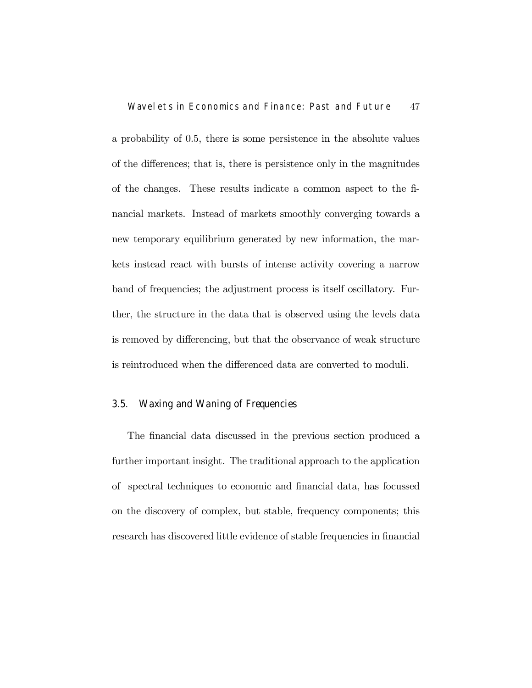a probability of 0.5, there is some persistence in the absolute values of the differences; that is, there is persistence only in the magnitudes of the changes. These results indicate a common aspect to the financial markets. Instead of markets smoothly converging towards a new temporary equilibrium generated by new information, the markets instead react with bursts of intense activity covering a narrow band of frequencies; the adjustment process is itself oscillatory. Further, the structure in the data that is observed using the levels data is removed by differencing, but that the observance of weak structure is reintroduced when the differenced data are converted to moduli.

### 3.5. Waxing and Waning of Frequencies

The financial data discussed in the previous section produced a further important insight. The traditional approach to the application of spectral techniques to economic and financial data, has focussed on the discovery of complex, but stable, frequency components; this research has discovered little evidence of stable frequencies in financial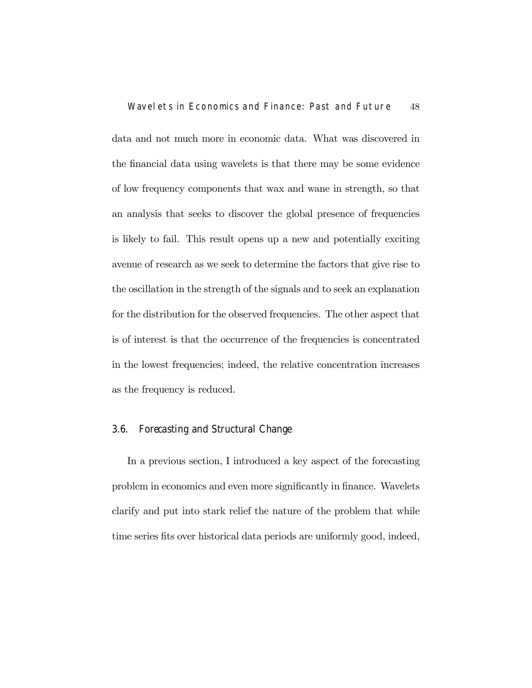data and not much more in economic data. What was discovered in the financial data using wavelets is that there may be some evidence of low frequency components that wax and wane in strength, so that an analysis that seeks to discover the global presence of frequencies is likely to fail. This result opens up a new and potentially exciting avenue of research as we seek to determine the factors that give rise to the oscillation in the strength of the signals and to seek an explanation for the distribution for the observed frequencies. The other aspect that is of interest is that the occurrence of the frequencies is concentrated in the lowest frequencies; indeed, the relative concentration increases as the frequency is reduced.

### 3.6. Forecasting and Structural Change

In a previous section, I introduced a key aspect of the forecasting problem in economics and even more significantly in finance. Wavelets clarify and put into stark relief the nature of the problem that while time series fits over historical data periods are uniformly good, indeed,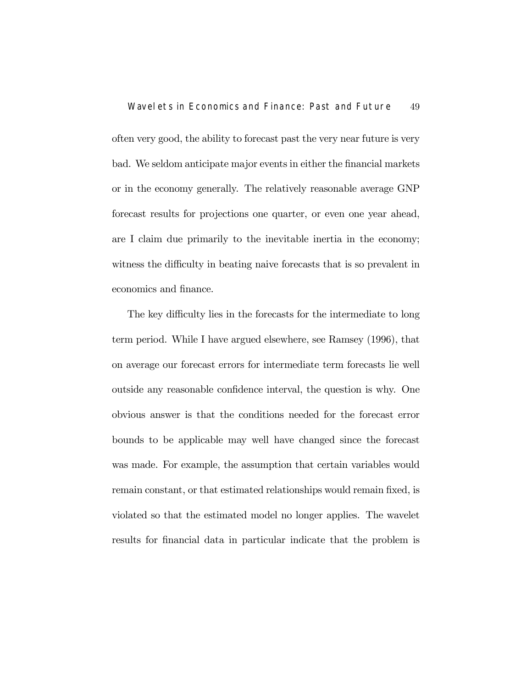often very good, the ability to forecast past the very near future is very bad. We seldom anticipate major events in either the financial markets or in the economy generally. The relatively reasonable average GNP forecast results for projections one quarter, or even one year ahead, are I claim due primarily to the inevitable inertia in the economy; witness the difficulty in beating naive forecasts that is so prevalent in economics and finance.

The key difficulty lies in the forecasts for the intermediate to long term period. While I have argued elsewhere, see Ramsey (1996), that on average our forecast errors for intermediate term forecasts lie well outside any reasonable confidence interval, the question is why. One obvious answer is that the conditions needed for the forecast error bounds to be applicable may well have changed since the forecast was made. For example, the assumption that certain variables would remain constant, or that estimated relationships would remain fixed, is violated so that the estimated model no longer applies. The wavelet results for financial data in particular indicate that the problem is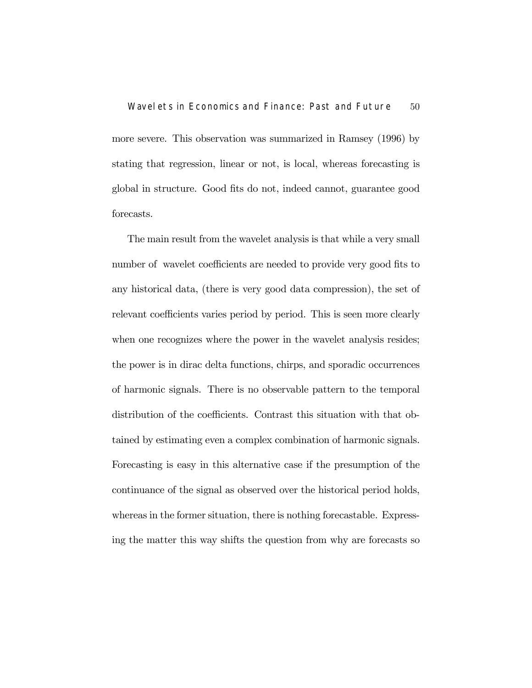more severe. This observation was summarized in Ramsey (1996) by stating that regression, linear or not, is local, whereas forecasting is global in structure. Good fits do not, indeed cannot, guarantee good forecasts.

The main result from the wavelet analysis is that while a very small number of wavelet coefficients are needed to provide very good fits to any historical data, (there is very good data compression), the set of relevant coefficients varies period by period. This is seen more clearly when one recognizes where the power in the wavelet analysis resides; the power is in dirac delta functions, chirps, and sporadic occurrences of harmonic signals. There is no observable pattern to the temporal distribution of the coefficients. Contrast this situation with that obtained by estimating even a complex combination of harmonic signals. Forecasting is easy in this alternative case if the presumption of the continuance of the signal as observed over the historical period holds, whereas in the former situation, there is nothing forecastable. Expressing the matter this way shifts the question from why are forecasts so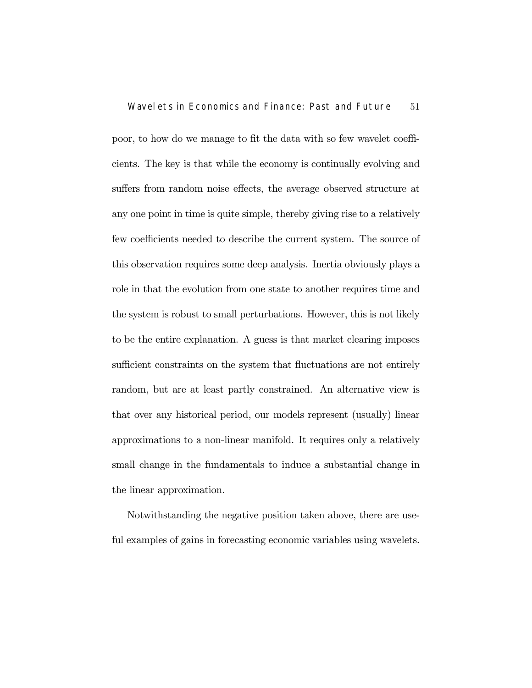poor, to how do we manage to fit the data with so few wavelet coefficients. The key is that while the economy is continually evolving and suffers from random noise effects, the average observed structure at any one point in time is quite simple, thereby giving rise to a relatively few coefficients needed to describe the current system. The source of this observation requires some deep analysis. Inertia obviously plays a role in that the evolution from one state to another requires time and the system is robust to small perturbations. However, this is not likely to be the entire explanation. A guess is that market clearing imposes sufficient constraints on the system that fluctuations are not entirely random, but are at least partly constrained. An alternative view is that over any historical period, our models represent (usually) linear approximations to a non-linear manifold. It requires only a relatively small change in the fundamentals to induce a substantial change in the linear approximation.

Notwithstanding the negative position taken above, there are useful examples of gains in forecasting economic variables using wavelets.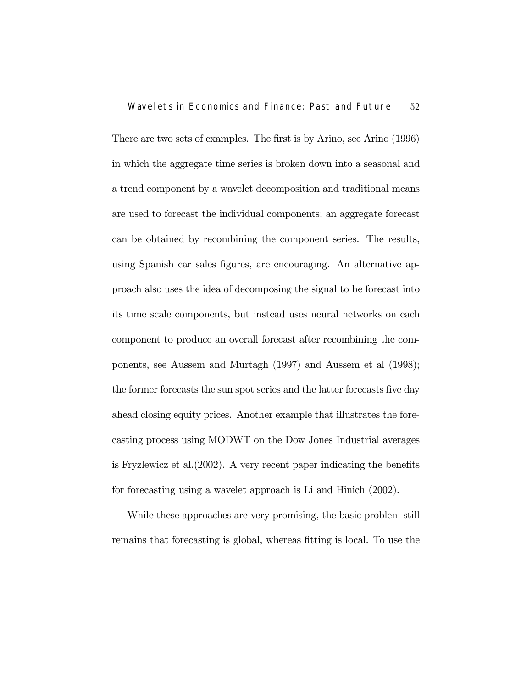There are two sets of examples. The first is by Arino, see Arino (1996) in which the aggregate time series is broken down into a seasonal and a trend component by a wavelet decomposition and traditional means are used to forecast the individual components; an aggregate forecast can be obtained by recombining the component series. The results, using Spanish car sales figures, are encouraging. An alternative approach also uses the idea of decomposing the signal to be forecast into its time scale components, but instead uses neural networks on each component to produce an overall forecast after recombining the components, see Aussem and Murtagh (1997) and Aussem et al (1998); the former forecasts the sun spot series and the latter forecasts five day ahead closing equity prices. Another example that illustrates the forecasting process using MODWT on the Dow Jones Industrial averages is Fryzlewicz et al.(2002). A very recent paper indicating the benefits for forecasting using a wavelet approach is Li and Hinich (2002).

While these approaches are very promising, the basic problem still remains that forecasting is global, whereas fitting is local. To use the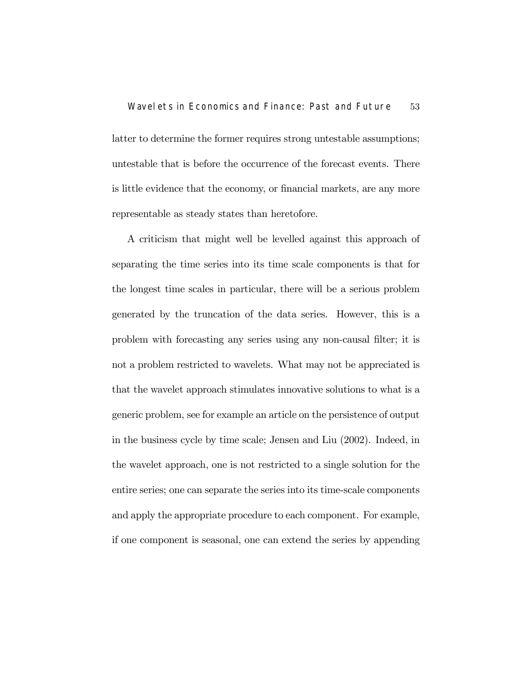latter to determine the former requires strong untestable assumptions; untestable that is before the occurrence of the forecast events. There is little evidence that the economy, or financial markets, are any more representable as steady states than heretofore.

A criticism that might well be levelled against this approach of separating the time series into its time scale components is that for the longest time scales in particular, there will be a serious problem generated by the truncation of the data series. However, this is a problem with forecasting any series using any non-causal filter; it is not a problem restricted to wavelets. What may not be appreciated is that the wavelet approach stimulates innovative solutions to what is a generic problem, see for example an article on the persistence of output in the business cycle by time scale; Jensen and Liu (2002). Indeed, in the wavelet approach, one is not restricted to a single solution for the entire series; one can separate the series into its time-scale components and apply the appropriate procedure to each component. For example, if one component is seasonal, one can extend the series by appending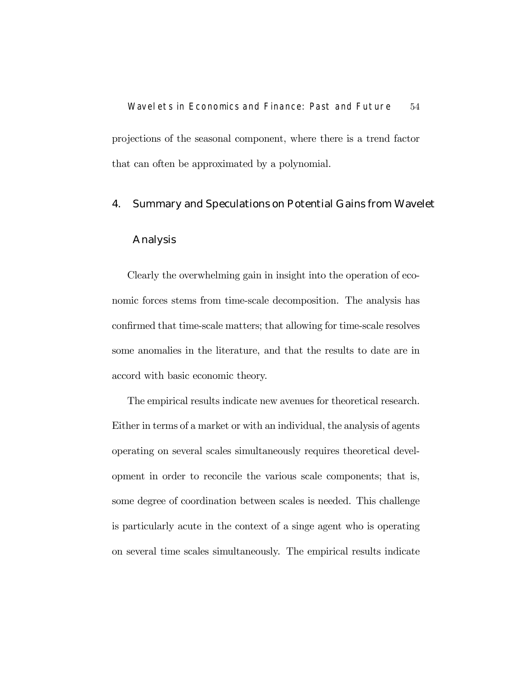Wavelets in Economics and Finance: Past and Future 54 projections of the seasonal component, where there is a trend factor that can often be approximated by a polynomial.

# 4. Summary and Speculations on Potential Gains from Wavelet

### Analysis

Clearly the overwhelming gain in insight into the operation of economic forces stems from time-scale decomposition. The analysis has confirmed that time-scale matters; that allowing for time-scale resolves some anomalies in the literature, and that the results to date are in accord with basic economic theory.

The empirical results indicate new avenues for theoretical research. Either in terms of a market or with an individual, the analysis of agents operating on several scales simultaneously requires theoretical development in order to reconcile the various scale components; that is, some degree of coordination between scales is needed. This challenge is particularly acute in the context of a singe agent who is operating on several time scales simultaneously. The empirical results indicate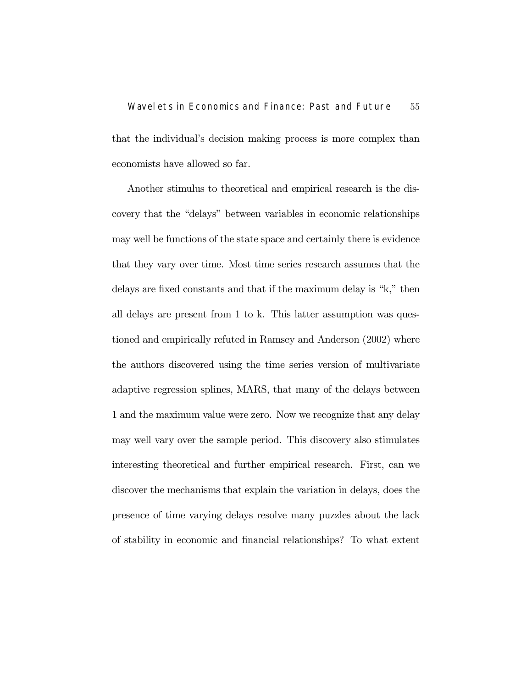# Wavelets in Economics and Finance: Past and Future 55 that the individual's decision making process is more complex than economists have allowed so far.

Another stimulus to theoretical and empirical research is the discovery that the "delays" between variables in economic relationships may well be functions of the state space and certainly there is evidence that they vary over time. Most time series research assumes that the delays are fixed constants and that if the maximum delay is "k," then all delays are present from 1 to k. This latter assumption was questioned and empirically refuted in Ramsey and Anderson (2002) where the authors discovered using the time series version of multivariate adaptive regression splines, MARS, that many of the delays between 1 and the maximum value were zero. Now we recognize that any delay may well vary over the sample period. This discovery also stimulates interesting theoretical and further empirical research. First, can we discover the mechanisms that explain the variation in delays, does the presence of time varying delays resolve many puzzles about the lack of stability in economic and financial relationships? To what extent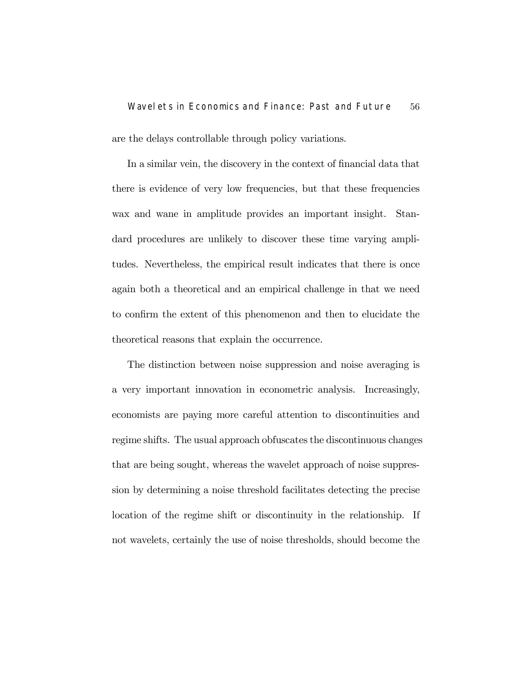## Wavelets in Economics and Finance: Past and Future 56 are the delays controllable through policy variations.

In a similar vein, the discovery in the context of financial data that there is evidence of very low frequencies, but that these frequencies wax and wane in amplitude provides an important insight. Standard procedures are unlikely to discover these time varying amplitudes. Nevertheless, the empirical result indicates that there is once again both a theoretical and an empirical challenge in that we need to confirm the extent of this phenomenon and then to elucidate the theoretical reasons that explain the occurrence.

The distinction between noise suppression and noise averaging is a very important innovation in econometric analysis. Increasingly, economists are paying more careful attention to discontinuities and regime shifts. The usual approach obfuscates the discontinuous changes that are being sought, whereas the wavelet approach of noise suppression by determining a noise threshold facilitates detecting the precise location of the regime shift or discontinuity in the relationship. If not wavelets, certainly the use of noise thresholds, should become the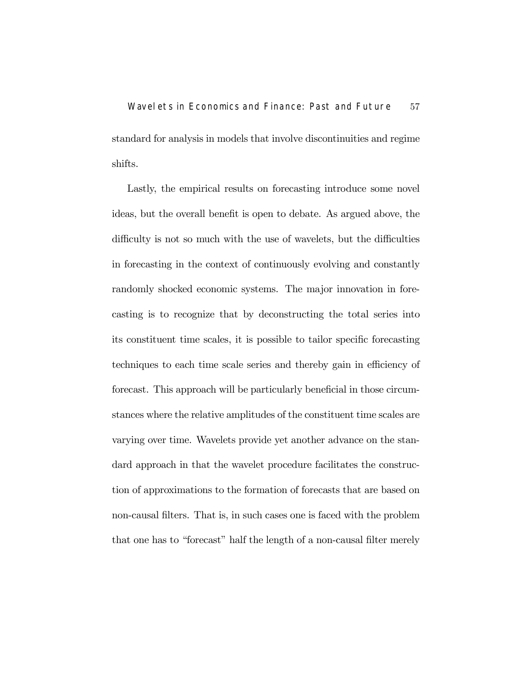Wavelets in Economics and Finance: Past and Future 57 standard for analysis in models that involve discontinuities and regime shifts.

Lastly, the empirical results on forecasting introduce some novel ideas, but the overall benefit is open to debate. As argued above, the difficulty is not so much with the use of wavelets, but the difficulties in forecasting in the context of continuously evolving and constantly randomly shocked economic systems. The major innovation in forecasting is to recognize that by deconstructing the total series into its constituent time scales, it is possible to tailor specific forecasting techniques to each time scale series and thereby gain in efficiency of forecast. This approach will be particularly beneficial in those circumstances where the relative amplitudes of the constituent time scales are varying over time. Wavelets provide yet another advance on the standard approach in that the wavelet procedure facilitates the construction of approximations to the formation of forecasts that are based on non-causal filters. That is, in such cases one is faced with the problem that one has to "forecast" half the length of a non-causal filter merely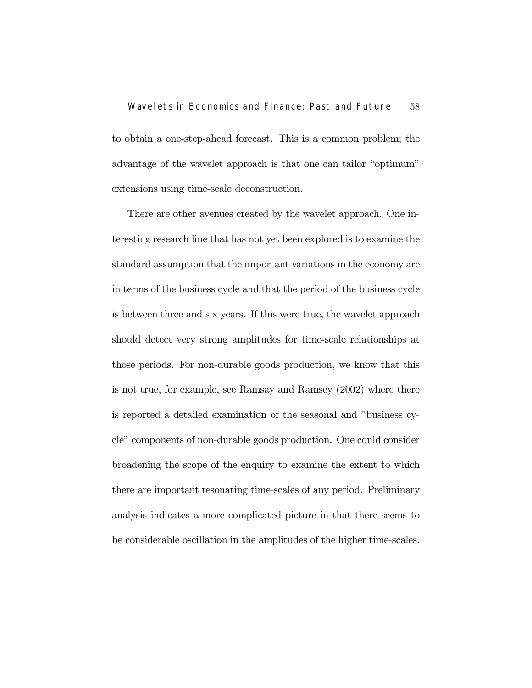to obtain a one-step-ahead forecast. This is a common problem; the advantage of the wavelet approach is that one can tailor "optimum" extensions using time-scale deconstruction.

There are other avenues created by the wavelet approach. One interesting research line that has not yet been explored is to examine the standard assumption that the important variations in the economy are in terms of the business cycle and that the period of the business cycle is between three and six years. If this were true, the wavelet approach should detect very strong amplitudes for time-scale relationships at those periods. For non-durable goods production, we know that this is not true, for example, see Ramsay and Ramsey (2002) where there is reported a detailed examination of the seasonal and "business cycle" components of non-durable goods production. One could consider broadening the scope of the enquiry to examine the extent to which there are important resonating time-scales of any period. Preliminary analysis indicates a more complicated picture in that there seems to be considerable oscillation in the amplitudes of the higher time-scales.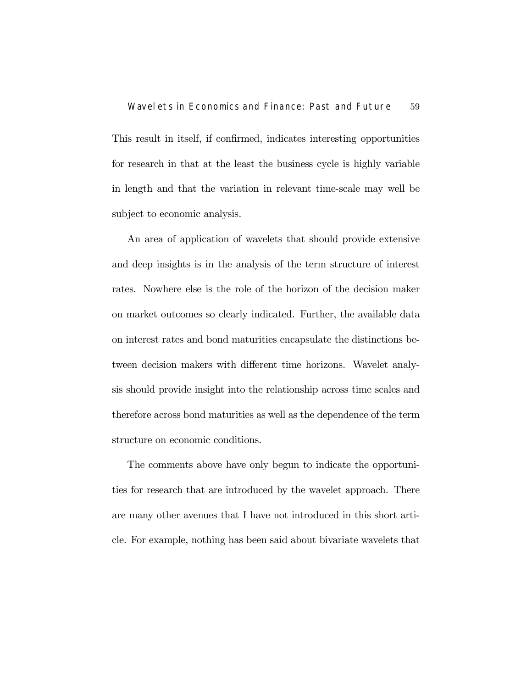This result in itself, if confirmed, indicates interesting opportunities for research in that at the least the business cycle is highly variable in length and that the variation in relevant time-scale may well be subject to economic analysis.

An area of application of wavelets that should provide extensive and deep insights is in the analysis of the term structure of interest rates. Nowhere else is the role of the horizon of the decision maker on market outcomes so clearly indicated. Further, the available data on interest rates and bond maturities encapsulate the distinctions between decision makers with different time horizons. Wavelet analysis should provide insight into the relationship across time scales and therefore across bond maturities as well as the dependence of the term structure on economic conditions.

The comments above have only begun to indicate the opportunities for research that are introduced by the wavelet approach. There are many other avenues that I have not introduced in this short article. For example, nothing has been said about bivariate wavelets that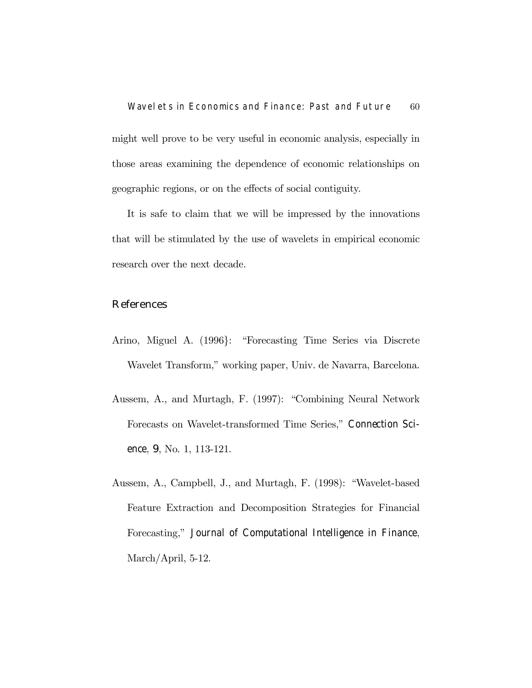might well prove to be very useful in economic analysis, especially in those areas examining the dependence of economic relationships on geographic regions, or on the effects of social contiguity.

It is safe to claim that we will be impressed by the innovations that will be stimulated by the use of wavelets in empirical economic research over the next decade.

#### References

- Arino, Miguel A. (1996}: "Forecasting Time Series via Discrete Wavelet Transform," working paper, Univ. de Navarra, Barcelona.
- Aussem, A., and Murtagh, F. (1997): "Combining Neural Network Forecasts on Wavelet-transformed Time Series," Connection Science, 9, No. 1, 113-121.
- Aussem, A., Campbell, J., and Murtagh, F. (1998): "Wavelet-based Feature Extraction and Decomposition Strategies for Financial Forecasting," Journal of Computational Intelligence in Finance, March/April, 5-12.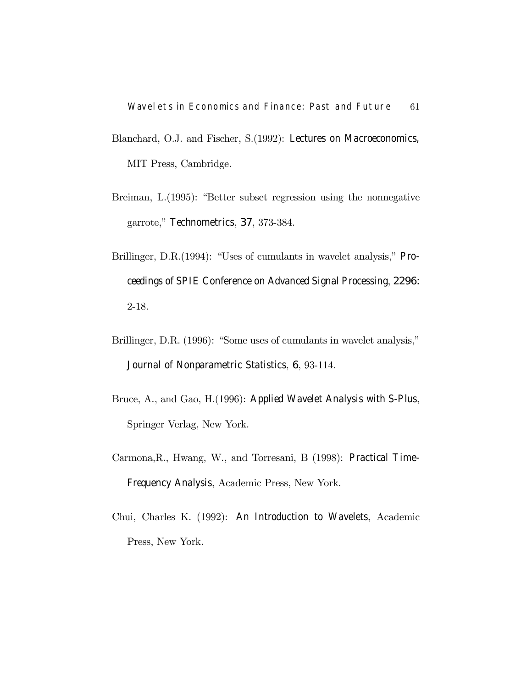- Blanchard, O.J. and Fischer, S.(1992): Lectures on Macroeconomics, MIT Press, Cambridge.
- Breiman, L.(1995): "Better subset regression using the nonnegative garrote," Technometrics, 37, 373-384.
- Brillinger, D.R.(1994): "Uses of cumulants in wavelet analysis," Proceedings of SPIE Conference on Advanced Signal Processing, 2296: 2-18.
- Brillinger, D.R. (1996): "Some uses of cumulants in wavelet analysis," Journal of Nonparametric Statistics, 6, 93-114.
- Bruce, A., and Gao, H.(1996): Applied Wavelet Analysis with S-Plus, Springer Verlag, New York.
- Carmona,R., Hwang, W., and Torresani, B (1998): Practical Time-Frequency Analysis, Academic Press, New York.
- Chui, Charles K. (1992): An Introduction to Wavelets, Academic Press, New York.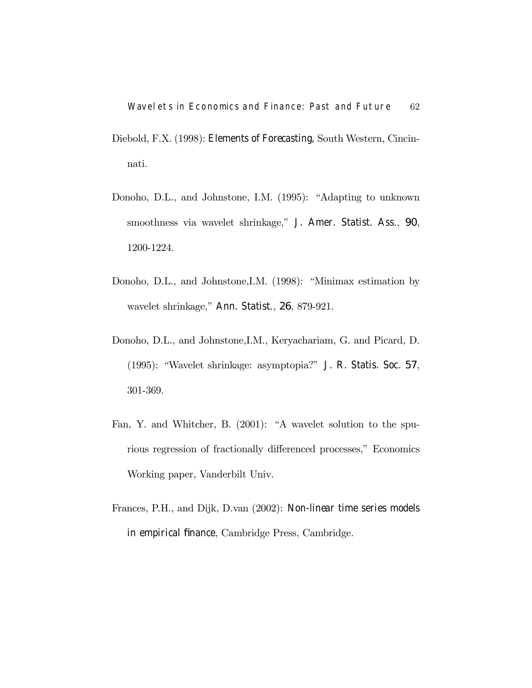- Diebold, F.X. (1998): Elements of Forecasting, South Western, Cincinnati.
- Donoho, D.L., and Johnstone, I.M. (1995): "Adapting to unknown smoothness via wavelet shrinkage," J. Amer. Statist. Ass., 90, 1200-1224.
- Donoho, D.L., and Johnstone,I.M. (1998): "Minimax estimation by wavelet shrinkage," Ann. Statist., 26, 879-921.
- Donoho, D.L., and Johnstone,I.M., Keryachariam, G. and Picard, D. (1995): "Wavelet shrinkage: asymptopia?" J. R. Statis. Soc. 57, 301-369.
- Fan, Y. and Whitcher, B. (2001): "A wavelet solution to the spurious regression of fractionally differenced processes," Economics Working paper, Vanderbilt Univ.
- Frances, P.H., and Dijk, D.van (2002): Non-linear time series models in empirical finance, Cambridge Press, Cambridge.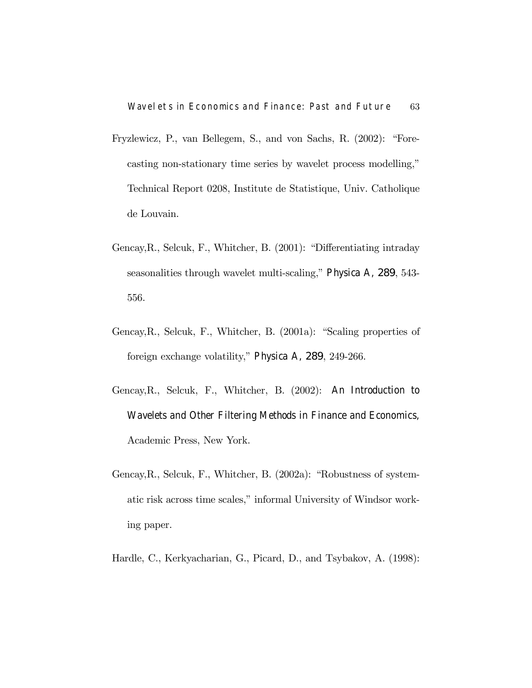- Fryzlewicz, P., van Bellegem, S., and von Sachs, R. (2002): "Forecasting non-stationary time series by wavelet process modelling," Technical Report 0208, Institute de Statistique, Univ. Catholique de Louvain.
- Gencay,R., Selcuk, F., Whitcher, B. (2001): "Differentiating intraday seasonalities through wavelet multi-scaling," Physica A, 289, 543- 556.
- Gencay,R., Selcuk, F., Whitcher, B. (2001a): "Scaling properties of foreign exchange volatility," Physica A, 289, 249-266.
- Gencay,R., Selcuk, F., Whitcher, B. (2002): An Introduction to Wavelets and Other Filtering Methods in Finance and Economics, Academic Press, New York.
- Gencay,R., Selcuk, F., Whitcher, B. (2002a): "Robustness of systematic risk across time scales," informal University of Windsor working paper.
- Hardle, C., Kerkyacharian, G., Picard, D., and Tsybakov, A. (1998):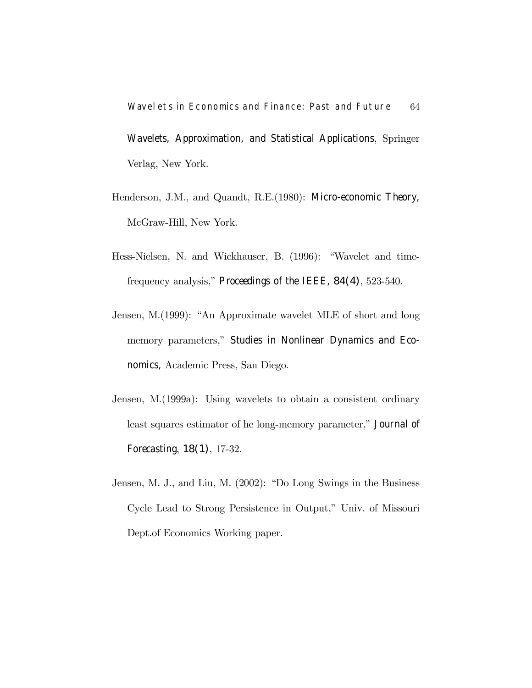Wavelets in Economics and Finance: Past and Future 64 Wavelets, Approximation, and Statistical Applications, Springer Verlag, New York.

- Henderson, J.M., and Quandt, R.E.(1980): Micro-economic Theory, McGraw-Hill, New York.
- Hess-Nielsen, N. and Wickhauser, B. (1996): "Wavelet and timefrequency analysis," Proceedings of the IEEE, 84(4), 523-540.
- Jensen, M.(1999): "An Approximate wavelet MLE of short and long memory parameters," Studies in Nonlinear Dynamics and Economics, Academic Press, San Diego.
- Jensen, M.(1999a): Using wavelets to obtain a consistent ordinary least squares estimator of he long-memory parameter," Journal of Forecasting, 18(1), 17-32.
- Jensen, M. J., and Liu, M. (2002): "Do Long Swings in the Business Cycle Lead to Strong Persistence in Output," Univ. of Missouri Dept.of Economics Working paper.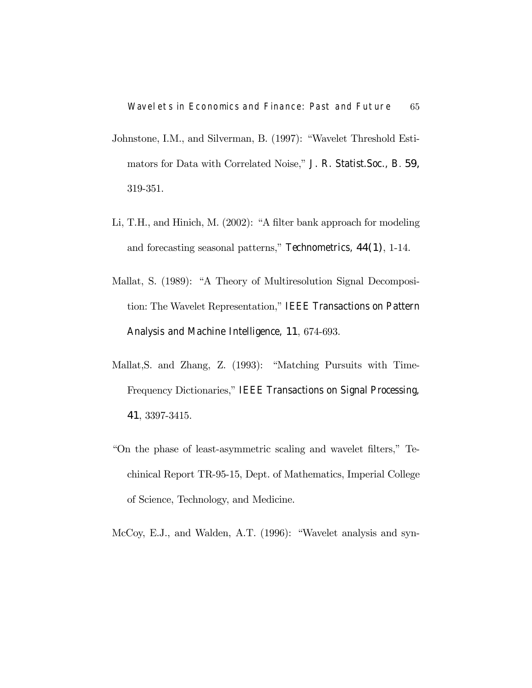- Johnstone, I.M., and Silverman, B. (1997): "Wavelet Threshold Estimators for Data with Correlated Noise," J. R. Statist.Soc., B. 59, 319-351.
- Li, T.H., and Hinich, M. (2002): "A filter bank approach for modeling and forecasting seasonal patterns," Technometrics, 44(1), 1-14.
- Mallat, S. (1989): "A Theory of Multiresolution Signal Decomposition: The Wavelet Representation," IEEE Transactions on Pattern Analysis and Machine Intelligence, 11, 674-693.
- Mallat,S. and Zhang, Z. (1993): "Matching Pursuits with Time-Frequency Dictionaries," IEEE Transactions on Signal Processing, 41, 3397-3415.
- "On the phase of least-asymmetric scaling and wavelet filters," Techinical Report TR-95-15, Dept. of Mathematics, Imperial College of Science, Technology, and Medicine.
- McCoy, E.J., and Walden, A.T. (1996): "Wavelet analysis and syn-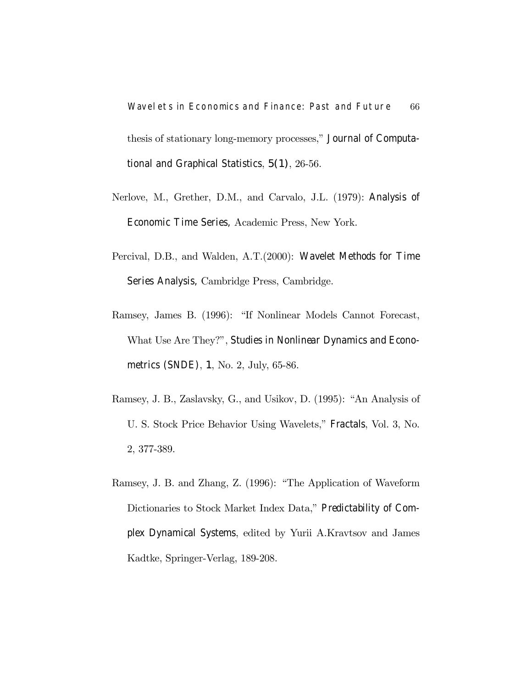Wavelets in Economics and Finance: Past and Future 66 thesis of stationary long-memory processes," Journal of Computational and Graphical Statistics, 5(1), 26-56.

- Nerlove, M., Grether, D.M., and Carvalo, J.L. (1979): Analysis of Economic Time Series, Academic Press, New York.
- Percival, D.B., and Walden, A.T.(2000): Wavelet Methods for Time Series Analysis, Cambridge Press, Cambridge.
- Ramsey, James B. (1996): "If Nonlinear Models Cannot Forecast, What Use Are They?", Studies in Nonlinear Dynamics and Econometrics (SNDE), 1, No. 2, July, 65-86.
- Ramsey, J. B., Zaslavsky, G., and Usikov, D. (1995): "An Analysis of U. S. Stock Price Behavior Using Wavelets," Fractals, Vol. 3, No. 2, 377-389.
- Ramsey, J. B. and Zhang, Z. (1996): "The Application of Waveform Dictionaries to Stock Market Index Data," Predictability of Complex Dynamical Systems, edited by Yurii A.Kravtsov and James Kadtke, Springer-Verlag, 189-208.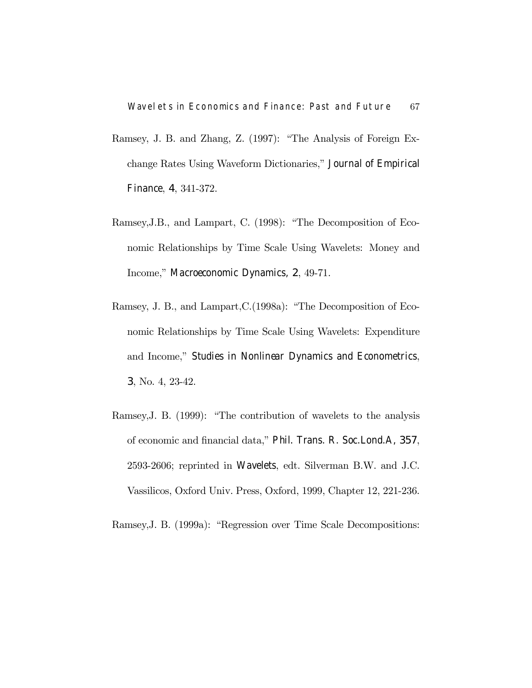- Ramsey, J. B. and Zhang, Z. (1997): "The Analysis of Foreign Exchange Rates Using Waveform Dictionaries," Journal of Empirical Finance, 4, 341-372.
- Ramsey,J.B., and Lampart, C. (1998): "The Decomposition of Economic Relationships by Time Scale Using Wavelets: Money and Income," Macroeconomic Dynamics, 2, 49-71.
- Ramsey, J. B., and Lampart,C.(1998a): "The Decomposition of Economic Relationships by Time Scale Using Wavelets: Expenditure and Income," Studies in Nonlinear Dynamics and Econometrics, 3, No. 4, 23-42.
- Ramsey,J. B. (1999): "The contribution of wavelets to the analysis of economic and financial data," Phil. Trans. R. Soc.Lond.A, 357, 2593-2606; reprinted in Wavelets, edt. Silverman B.W. and J.C. Vassilicos, Oxford Univ. Press, Oxford, 1999, Chapter 12, 221-236.

Ramsey,J. B. (1999a): "Regression over Time Scale Decompositions: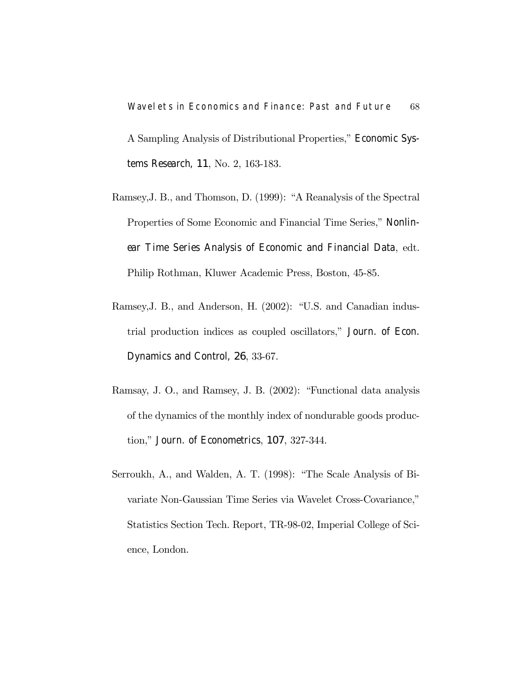Wavelets in Economics and Finance: Past and Future 68 A Sampling Analysis of Distributional Properties," Economic Systems Research, 11, No. 2, 163-183.

- Ramsey,J. B., and Thomson, D. (1999): "A Reanalysis of the Spectral Properties of Some Economic and Financial Time Series," Nonlinear Time Series Analysis of Economic and Financial Data, edt. Philip Rothman, Kluwer Academic Press, Boston, 45-85.
- Ramsey,J. B., and Anderson, H. (2002): "U.S. and Canadian industrial production indices as coupled oscillators," Journ. of Econ. Dynamics and Control, 26, 33-67.
- Ramsay, J. O., and Ramsey, J. B. (2002): "Functional data analysis of the dynamics of the monthly index of nondurable goods production," Journ. of Econometrics, 107, 327-344.
- Serroukh, A., and Walden, A. T. (1998): "The Scale Analysis of Bivariate Non-Gaussian Time Series via Wavelet Cross-Covariance," Statistics Section Tech. Report, TR-98-02, Imperial College of Science, London.